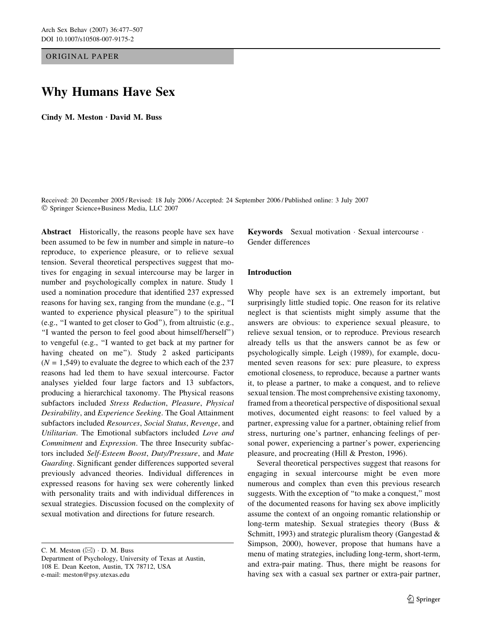ORIGINAL PAPER

# Why Humans Have Sex

Cindy M. Meston  $\cdot$  David M. Buss

Received: 20 December 2005 / Revised: 18 July 2006 / Accepted: 24 September 2006 / Published online: 3 July 2007 - Springer Science+Business Media, LLC 2007

Abstract Historically, the reasons people have sex have been assumed to be few in number and simple in nature–to reproduce, to experience pleasure, or to relieve sexual tension. Several theoretical perspectives suggest that motives for engaging in sexual intercourse may be larger in number and psychologically complex in nature. Study 1 used a nomination procedure that identified 237 expressed reasons for having sex, ranging from the mundane (e.g., ''I wanted to experience physical pleasure'') to the spiritual (e.g., ''I wanted to get closer to God''), from altruistic (e.g., ''I wanted the person to feel good about himself/herself'') to vengeful (e.g., ''I wanted to get back at my partner for having cheated on me''). Study 2 asked participants  $(N = 1,549)$  to evaluate the degree to which each of the 237 reasons had led them to have sexual intercourse. Factor analyses yielded four large factors and 13 subfactors, producing a hierarchical taxonomy. The Physical reasons subfactors included Stress Reduction, Pleasure, Physical Desirability, and Experience Seeking. The Goal Attainment subfactors included Resources, Social Status, Revenge, and Utilitarian. The Emotional subfactors included Love and Commitment and Expression. The three Insecurity subfactors included Self-Esteem Boost, Duty/Pressure, and Mate Guarding. Significant gender differences supported several previously advanced theories. Individual differences in expressed reasons for having sex were coherently linked with personality traits and with individual differences in sexual strategies. Discussion focused on the complexity of sexual motivation and directions for future research.

C. M. Meston  $(\boxtimes) \cdot$  D. M. Buss

Department of Psychology, University of Texas at Austin, 108 E. Dean Keeton, Austin, TX 78712, USA e-mail: meston@psy.utexas.edu

Keywords Sexual motivation - Sexual intercourse - Gender differences

#### Introduction

Why people have sex is an extremely important, but surprisingly little studied topic. One reason for its relative neglect is that scientists might simply assume that the answers are obvious: to experience sexual pleasure, to relieve sexual tension, or to reproduce. Previous research already tells us that the answers cannot be as few or psychologically simple. Leigh (1989), for example, documented seven reasons for sex: pure pleasure, to express emotional closeness, to reproduce, because a partner wants it, to please a partner, to make a conquest, and to relieve sexual tension. The most comprehensive existing taxonomy, framed from a theoretical perspective of dispositional sexual motives, documented eight reasons: to feel valued by a partner, expressing value for a partner, obtaining relief from stress, nurturing one's partner, enhancing feelings of personal power, experiencing a partner's power, experiencing pleasure, and procreating (Hill & Preston, 1996).

Several theoretical perspectives suggest that reasons for engaging in sexual intercourse might be even more numerous and complex than even this previous research suggests. With the exception of ''to make a conquest,'' most of the documented reasons for having sex above implicitly assume the context of an ongoing romantic relationship or long-term mateship. Sexual strategies theory (Buss & Schmitt, 1993) and strategic pluralism theory (Gangestad  $\&$ Simpson, 2000), however, propose that humans have a menu of mating strategies, including long-term, short-term, and extra-pair mating. Thus, there might be reasons for having sex with a casual sex partner or extra-pair partner,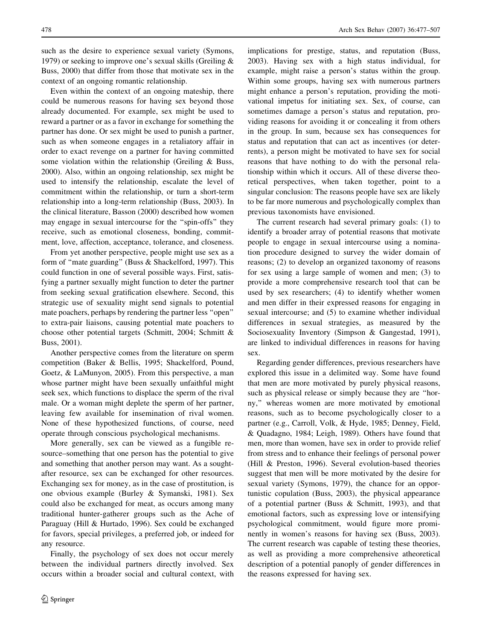such as the desire to experience sexual variety (Symons, 1979) or seeking to improve one's sexual skills (Greiling & Buss, 2000) that differ from those that motivate sex in the context of an ongoing romantic relationship.

Even within the context of an ongoing mateship, there could be numerous reasons for having sex beyond those already documented. For example, sex might be used to reward a partner or as a favor in exchange for something the partner has done. Or sex might be used to punish a partner, such as when someone engages in a retaliatory affair in order to exact revenge on a partner for having committed some violation within the relationship (Greiling & Buss, 2000). Also, within an ongoing relationship, sex might be used to intensify the relationship, escalate the level of commitment within the relationship, or turn a short-term relationship into a long-term relationship (Buss, 2003). In the clinical literature, Basson (2000) described how women may engage in sexual intercourse for the ''spin-offs'' they receive, such as emotional closeness, bonding, commitment, love, affection, acceptance, tolerance, and closeness.

From yet another perspective, people might use sex as a form of ''mate guarding'' (Buss & Shackelford, 1997). This could function in one of several possible ways. First, satisfying a partner sexually might function to deter the partner from seeking sexual gratification elsewhere. Second, this strategic use of sexuality might send signals to potential mate poachers, perhaps by rendering the partner less ''open'' to extra-pair liaisons, causing potential mate poachers to choose other potential targets (Schmitt, 2004; Schmitt & Buss, 2001).

Another perspective comes from the literature on sperm competition (Baker & Bellis, 1995; Shackelford, Pound, Goetz, & LaMunyon, 2005). From this perspective, a man whose partner might have been sexually unfaithful might seek sex, which functions to displace the sperm of the rival male. Or a woman might deplete the sperm of her partner, leaving few available for insemination of rival women. None of these hypothesized functions, of course, need operate through conscious psychological mechanisms.

More generally, sex can be viewed as a fungible resource–something that one person has the potential to give and something that another person may want. As a soughtafter resource, sex can be exchanged for other resources. Exchanging sex for money, as in the case of prostitution, is one obvious example (Burley & Symanski, 1981). Sex could also be exchanged for meat, as occurs among many traditional hunter-gatherer groups such as the Ache of Paraguay (Hill & Hurtado, 1996). Sex could be exchanged for favors, special privileges, a preferred job, or indeed for any resource.

Finally, the psychology of sex does not occur merely between the individual partners directly involved. Sex occurs within a broader social and cultural context, with implications for prestige, status, and reputation (Buss, 2003). Having sex with a high status individual, for example, might raise a person's status within the group. Within some groups, having sex with numerous partners might enhance a person's reputation, providing the motivational impetus for initiating sex. Sex, of course, can sometimes damage a person's status and reputation, providing reasons for avoiding it or concealing it from others in the group. In sum, because sex has consequences for status and reputation that can act as incentives (or deterrents), a person might be motivated to have sex for social reasons that have nothing to do with the personal relationship within which it occurs. All of these diverse theoretical perspectives, when taken together, point to a singular conclusion: The reasons people have sex are likely to be far more numerous and psychologically complex than previous taxonomists have envisioned.

The current research had several primary goals: (1) to identify a broader array of potential reasons that motivate people to engage in sexual intercourse using a nomination procedure designed to survey the wider domain of reasons; (2) to develop an organized taxonomy of reasons for sex using a large sample of women and men; (3) to provide a more comprehensive research tool that can be used by sex researchers; (4) to identify whether women and men differ in their expressed reasons for engaging in sexual intercourse; and (5) to examine whether individual differences in sexual strategies, as measured by the Sociosexuality Inventory (Simpson & Gangestad, 1991), are linked to individual differences in reasons for having sex.

Regarding gender differences, previous researchers have explored this issue in a delimited way. Some have found that men are more motivated by purely physical reasons, such as physical release or simply because they are ''horny,'' whereas women are more motivated by emotional reasons, such as to become psychologically closer to a partner (e.g., Carroll, Volk, & Hyde, 1985; Denney, Field, & Quadagno, 1984; Leigh, 1989). Others have found that men, more than women, have sex in order to provide relief from stress and to enhance their feelings of personal power (Hill & Preston, 1996). Several evolution-based theories suggest that men will be more motivated by the desire for sexual variety (Symons, 1979), the chance for an opportunistic copulation (Buss, 2003), the physical appearance of a potential partner (Buss & Schmitt, 1993), and that emotional factors, such as expressing love or intensifying psychological commitment, would figure more prominently in women's reasons for having sex (Buss, 2003). The current research was capable of testing these theories, as well as providing a more comprehensive atheoretical description of a potential panoply of gender differences in the reasons expressed for having sex.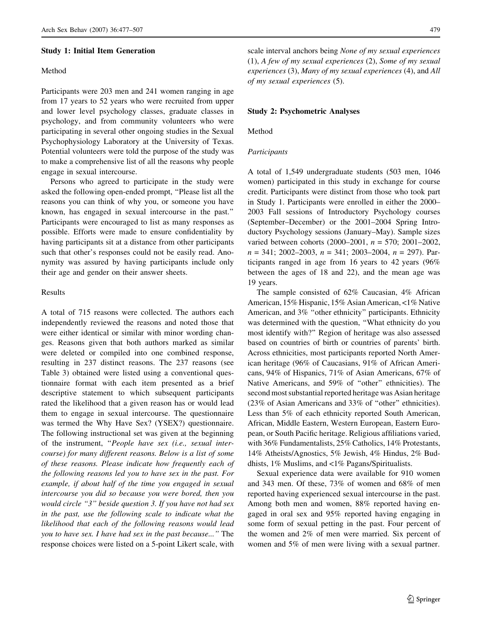#### Study 1: Initial Item Generation

#### Method

Participants were 203 men and 241 women ranging in age from 17 years to 52 years who were recruited from upper and lower level psychology classes, graduate classes in psychology, and from community volunteers who were participating in several other ongoing studies in the Sexual Psychophysiology Laboratory at the University of Texas. Potential volunteers were told the purpose of the study was to make a comprehensive list of all the reasons why people engage in sexual intercourse.

Persons who agreed to participate in the study were asked the following open-ended prompt, ''Please list all the reasons you can think of why you, or someone you have known, has engaged in sexual intercourse in the past.'' Participants were encouraged to list as many responses as possible. Efforts were made to ensure confidentiality by having participants sit at a distance from other participants such that other's responses could not be easily read. Anonymity was assured by having participants include only their age and gender on their answer sheets.

### Results

A total of 715 reasons were collected. The authors each independently reviewed the reasons and noted those that were either identical or similar with minor wording changes. Reasons given that both authors marked as similar were deleted or compiled into one combined response, resulting in 237 distinct reasons. The 237 reasons (see Table 3) obtained were listed using a conventional questionnaire format with each item presented as a brief descriptive statement to which subsequent participants rated the likelihood that a given reason has or would lead them to engage in sexual intercourse. The questionnaire was termed the Why Have Sex? (YSEX?) questionnaire. The following instructional set was given at the beginning of the instrument, "People have sex (i.e., sexual intercourse) for many different reasons. Below is a list of some of these reasons. Please indicate how frequently each of the following reasons led you to have sex in the past. For example, if about half of the time you engaged in sexual intercourse you did so because you were bored, then you would circle ''3'' beside question 3. If you have not had sex in the past, use the following scale to indicate what the likelihood that each of the following reasons would lead you to have sex. I have had sex in the past because...'' The response choices were listed on a 5-point Likert scale, with

scale interval anchors being None of my sexual experiences (1), A few of my sexual experiences (2), Some of my sexual experiences (3), Many of my sexual experiences (4), and All of my sexual experiences (5).

### Study 2: Psychometric Analyses

#### Method

### Participants

A total of 1,549 undergraduate students (503 men, 1046 women) participated in this study in exchange for course credit. Participants were distinct from those who took part in Study 1. Participants were enrolled in either the 2000– 2003 Fall sessions of Introductory Psychology courses (September–December) or the 2001–2004 Spring Introductory Psychology sessions (January–May). Sample sizes varied between cohorts (2000–2001,  $n = 570$ ; 2001–2002,  $n = 341$ ; 2002–2003,  $n = 341$ ; 2003–2004,  $n = 297$ ). Participants ranged in age from 16 years to 42 years (96% between the ages of 18 and 22), and the mean age was 19 years.

The sample consisted of 62% Caucasian, 4% African American, 15% Hispanic, 15% Asian American, <1% Native American, and 3% ''other ethnicity'' participants. Ethnicity was determined with the question, ''What ethnicity do you most identify with?'' Region of heritage was also assessed based on countries of birth or countries of parents' birth. Across ethnicities, most participants reported North American heritage (96% of Caucasians, 91% of African Americans, 94% of Hispanics, 71% of Asian Americans, 67% of Native Americans, and 59% of ''other'' ethnicities). The second most substantial reported heritage was Asian heritage (23% of Asian Americans and 33% of ''other'' ethnicities). Less than 5% of each ethnicity reported South American, African, Middle Eastern, Western European, Eastern European, or South Pacific heritage. Religious affiliations varied, with 36% Fundamentalists, 25% Catholics, 14% Protestants, 14% Atheists/Agnostics, 5% Jewish, 4% Hindus, 2% Buddhists, 1% Muslims, and <1% Pagans/Spiritualists.

Sexual experience data were available for 910 women and 343 men. Of these, 73% of women and 68% of men reported having experienced sexual intercourse in the past. Among both men and women, 88% reported having engaged in oral sex and 95% reported having engaging in some form of sexual petting in the past. Four percent of the women and 2% of men were married. Six percent of women and 5% of men were living with a sexual partner.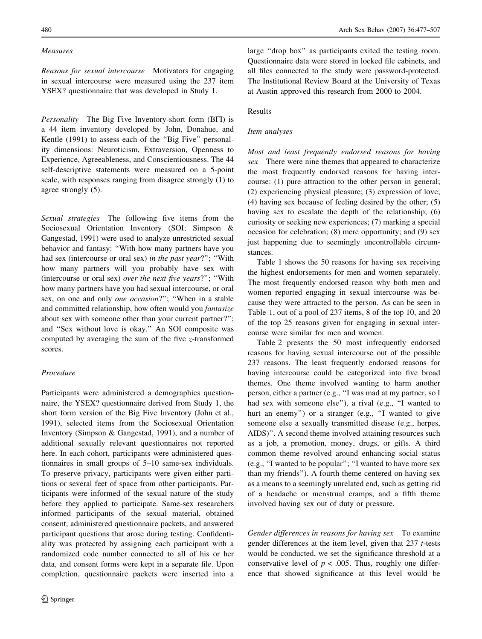## Measures

Reasons for sexual intercourse Motivators for engaging in sexual intercourse were measured using the 237 item YSEX? questionnaire that was developed in Study 1.

Personality The Big Five Inventory-short form (BFI) is a 44 item inventory developed by John, Donahue, and Kentle (1991) to assess each of the "Big Five" personality dimensions: Neuroticism, Extraversion, Openness to Experience, Agreeableness, and Conscientiousness. The 44 self-descriptive statements were measured on a 5-point scale, with responses ranging from disagree strongly (1) to agree strongly (5).

Sexual strategies The following five items from the Sociosexual Orientation Inventory (SOI; Simpson & Gangestad, 1991) were used to analyze unrestricted sexual behavior and fantasy: ''With how many partners have you had sex (intercourse or oral sex) in the past year?"; "With how many partners will you probably have sex with (intercourse or oral sex) over the next five years?''; ''With how many partners have you had sexual intercourse, or oral sex, on one and only one occasion?"; "When in a stable and committed relationship, how often would you fantasize about sex with someone other than your current partner?''; and ''Sex without love is okay.'' An SOI composite was computed by averaging the sum of the five z-transformed scores.

#### Procedure

Participants were administered a demographics questionnaire, the YSEX? questionnaire derived from Study 1, the short form version of the Big Five Inventory (John et al., 1991), selected items from the Sociosexual Orientation Inventory (Simpson & Gangestad, 1991), and a number of additional sexually relevant questionnaires not reported here. In each cohort, participants were administered questionnaires in small groups of 5–10 same-sex individuals. To preserve privacy, participants were given either partitions or several feet of space from other participants. Participants were informed of the sexual nature of the study before they applied to participate. Same-sex researchers informed participants of the sexual material, obtained consent, administered questionnaire packets, and answered participant questions that arose during testing. Confidentiality was protected by assigning each participant with a randomized code number connected to all of his or her data, and consent forms were kept in a separate file. Upon completion, questionnaire packets were inserted into a

large ''drop box'' as participants exited the testing room. Questionnaire data were stored in locked file cabinets, and all files connected to the study were password-protected. The Institutional Review Board at the University of Texas at Austin approved this research from 2000 to 2004.

## Results

#### Item analyses

Most and least frequently endorsed reasons for having sex There were nine themes that appeared to characterize the most frequently endorsed reasons for having intercourse: (1) pure attraction to the other person in general; (2) experiencing physical pleasure; (3) expression of love; (4) having sex because of feeling desired by the other; (5) having sex to escalate the depth of the relationship; (6) curiosity or seeking new experiences; (7) marking a special occasion for celebration; (8) mere opportunity; and (9) sex just happening due to seemingly uncontrollable circumstances.

Table 1 shows the 50 reasons for having sex receiving the highest endorsements for men and women separately. The most frequently endorsed reason why both men and women reported engaging in sexual intercourse was because they were attracted to the person. As can be seen in Table 1, out of a pool of 237 items, 8 of the top 10, and 20 of the top 25 reasons given for engaging in sexual intercourse were similar for men and women.

Table 2 presents the 50 most infrequently endorsed reasons for having sexual intercourse out of the possible 237 reasons. The least frequently endorsed reasons for having intercourse could be categorized into five broad themes. One theme involved wanting to harm another person, either a partner (e.g., ''I was mad at my partner, so I had sex with someone else"), a rival (e.g., "I wanted to hurt an enemy") or a stranger (e.g., "I wanted to give someone else a sexually transmitted disease (e.g., herpes, AIDS)''. A second theme involved attaining resources such as a job, a promotion, money, drugs, or gifts. A third common theme revolved around enhancing social status (e.g., ''I wanted to be popular''; ''I wanted to have more sex than my friends''). A fourth theme centered on having sex as a means to a seemingly unrelated end, such as getting rid of a headache or menstrual cramps, and a fifth theme involved having sex out of duty or pressure.

Gender differences in reasons for having sex To examine gender differences at the item level, given that 237 t-tests would be conducted, we set the significance threshold at a conservative level of  $p < .005$ . Thus, roughly one difference that showed significance at this level would be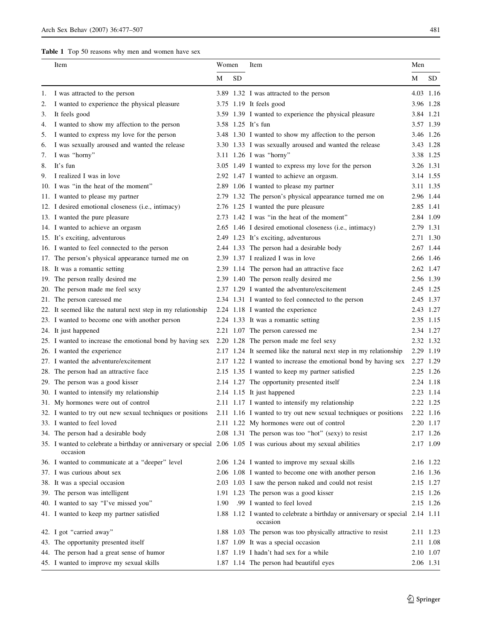## Table 1 Top 50 reasons why men and women have sex

|    | Item                                                                                                                         | Women | Item |                                                                                            | Men       |           |
|----|------------------------------------------------------------------------------------------------------------------------------|-------|------|--------------------------------------------------------------------------------------------|-----------|-----------|
|    |                                                                                                                              | М     | SD   |                                                                                            | М         | SD.       |
| 1. | I was attracted to the person                                                                                                |       |      | 3.89 1.32 I was attracted to the person                                                    |           | 4.03 1.16 |
| 2. | I wanted to experience the physical pleasure                                                                                 |       |      | 3.75 1.19 It feels good                                                                    |           | 3.96 1.28 |
| 3. | It feels good                                                                                                                |       |      | 3.59 1.39 I wanted to experience the physical pleasure                                     |           | 3.84 1.21 |
| 4. | I wanted to show my affection to the person                                                                                  |       |      | 3.58 1.25 It's fun                                                                         |           | 3.57 1.39 |
| 5. | I wanted to express my love for the person                                                                                   |       |      | 3.48 1.30 I wanted to show my affection to the person                                      |           | 3.46 1.26 |
| 6. | I was sexually aroused and wanted the release                                                                                |       |      | 3.30 1.33 I was sexually aroused and wanted the release                                    |           | 3.43 1.28 |
| 7. | I was "horny"                                                                                                                |       |      | 3.11 1.26 I was "horny"                                                                    |           | 3.38 1.25 |
| 8. | It's fun                                                                                                                     |       |      | 3.05 1.49 I wanted to express my love for the person                                       |           | 3.26 1.31 |
| 9. | I realized I was in love                                                                                                     |       |      | 2.92 1.47 I wanted to achieve an orgasm.                                                   |           | 3.14 1.55 |
|    | 10. I was "in the heat of the moment"                                                                                        |       |      | 2.89 1.06 I wanted to please my partner                                                    |           | 3.11 1.35 |
|    | 11. I wanted to please my partner                                                                                            |       |      | 2.79 1.32 The person's physical appearance turned me on                                    |           | 2.96 1.44 |
|    | 12. I desired emotional closeness (i.e., intimacy)                                                                           |       |      | 2.76 1.25 I wanted the pure pleasure                                                       |           | 2.85 1.41 |
|    | 13. I wanted the pure pleasure                                                                                               |       |      | 2.73 1.42 I was "in the heat of the moment"                                                |           | 2.84 1.09 |
|    | 14. I wanted to achieve an orgasm                                                                                            |       |      | 2.65 1.46 I desired emotional closeness (i.e., intimacy)                                   |           | 2.79 1.31 |
|    | 15. It's exciting, adventurous                                                                                               |       |      | 2.49 1.23 It's exciting, adventurous                                                       |           | 2.71 1.30 |
|    | 16. I wanted to feel connected to the person                                                                                 |       |      | 2.44 1.33 The person had a desirable body                                                  |           | 2.67 1.44 |
|    | 17. The person's physical appearance turned me on                                                                            |       |      | 2.39 1.37 I realized I was in love                                                         |           | 2.66 1.46 |
|    | 18. It was a romantic setting                                                                                                |       |      | 2.39 1.14 The person had an attractive face                                                |           | 2.62 1.47 |
|    | 19. The person really desired me                                                                                             |       |      | 2.39 1.40 The person really desired me                                                     |           | 2.56 1.39 |
|    | 20. The person made me feel sexy                                                                                             |       |      | 2.37 1.29 I wanted the adventure/excitement                                                |           | 2.45 1.25 |
|    | 21. The person caressed me                                                                                                   |       |      | 2.34 1.31 I wanted to feel connected to the person                                         |           | 2.45 1.37 |
|    | 22. It seemed like the natural next step in my relationship                                                                  |       |      | 2.24 1.18 I wanted the experience                                                          |           | 2.43 1.27 |
|    | 23. I wanted to become one with another person                                                                               |       |      | 2.24 1.33 It was a romantic setting                                                        |           | 2.35 1.15 |
|    | 24. It just happened                                                                                                         |       |      | 2.21 1.07 The person caressed me                                                           |           | 2.34 1.27 |
|    | 25. I wanted to increase the emotional bond by having sex                                                                    |       |      | 2.20 1.28 The person made me feel sexy                                                     |           | 2.32 1.32 |
|    | 26. I wanted the experience                                                                                                  |       |      | 2.17 1.24 It seemed like the natural next step in my relationship                          |           | 2.29 1.19 |
|    | 27. I wanted the adventure/excitement                                                                                        |       |      | 2.17 1.22 I wanted to increase the emotional bond by having sex                            | 2.27 1.29 |           |
|    | 28. The person had an attractive face                                                                                        |       |      | 2.15 1.35 I wanted to keep my partner satisfied                                            |           | 2.25 1.26 |
|    | 29. The person was a good kisser                                                                                             |       |      | 2.14 1.27 The opportunity presented itself                                                 |           | 2.24 1.18 |
|    | 30. I wanted to intensify my relationship                                                                                    |       |      | 2.14 1.15 It just happened                                                                 |           | 2.23 1.14 |
|    | 31. My hormones were out of control                                                                                          |       |      | 2.11 1.17 I wanted to intensify my relationship                                            |           | 2.22 1.25 |
|    | 32. I wanted to try out new sexual techniques or positions                                                                   |       |      | 2.11 1.16 I wanted to try out new sexual techniques or positions                           | 2.22 1.16 |           |
|    | 33. I wanted to feel loved                                                                                                   |       |      | 2.11 1.22 My hormones were out of control                                                  |           | 2.20 1.17 |
|    | 34. The person had a desirable body                                                                                          |       |      | 2.08 1.31 The person was too "hot" (sexy) to resist                                        |           | 2.17 1.26 |
|    | 35. I wanted to celebrate a birthday or anniversary or special 2.06 1.05 I was curious about my sexual abilities<br>occasion |       |      |                                                                                            |           | 2.17 1.09 |
|    | 36. I wanted to communicate at a "deeper" level                                                                              |       |      | 2.06 1.24 I wanted to improve my sexual skills                                             |           | 2.16 1.22 |
|    | 37. I was curious about sex                                                                                                  |       |      | 2.06 1.08 I wanted to become one with another person                                       |           | 2.16 1.36 |
|    | 38. It was a special occasion                                                                                                |       |      | 2.03 1.03 I saw the person naked and could not resist                                      |           | 2.15 1.27 |
|    | 39. The person was intelligent                                                                                               |       |      | 1.91 1.23 The person was a good kisser                                                     |           | 2.15 1.26 |
|    | 40. I wanted to say "I've missed you"                                                                                        | 1.90  |      | .99 I wanted to feel loved                                                                 |           | 2.15 1.26 |
|    | 41. I wanted to keep my partner satisfied                                                                                    |       |      | 1.88 1.12 I wanted to celebrate a birthday or anniversary or special 2.14 1.11<br>occasion |           |           |
|    | 42. I got "carried away"                                                                                                     |       |      | 1.88 1.03 The person was too physically attractive to resist                               |           | 2.11 1.23 |
|    | 43. The opportunity presented itself                                                                                         |       |      | 1.87 1.09 It was a special occasion                                                        |           | 2.11 1.08 |
|    | 44. The person had a great sense of humor                                                                                    |       |      | 1.87 1.19 I hadn't had sex for a while                                                     |           | 2.10 1.07 |
|    | 45. I wanted to improve my sexual skills                                                                                     |       |      | 1.87 1.14 The person had beautiful eyes                                                    |           | 2.06 1.31 |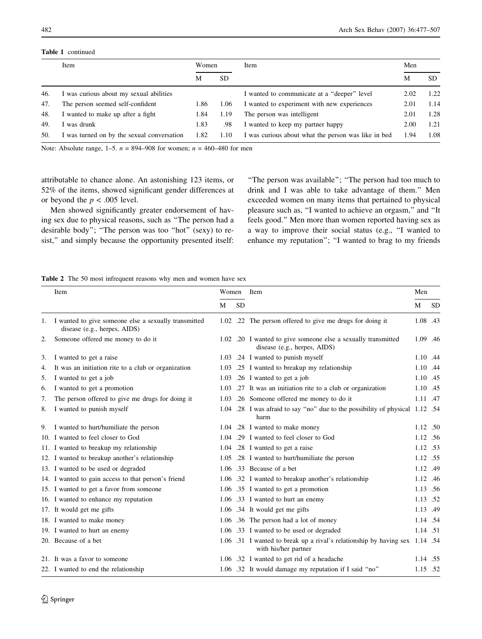|     | Item                                       |      | Women<br>Item |                                                     | Men  |      |
|-----|--------------------------------------------|------|---------------|-----------------------------------------------------|------|------|
|     |                                            | М    | <b>SD</b>     |                                                     | М    | SD.  |
| 46. | I was curious about my sexual abilities    |      |               | I wanted to communicate at a "deeper" level         | 2.02 | 1.22 |
| 47. | The person seemed self-confident           | 1.86 | 1.06          | I wanted to experiment with new experiences         | 2.01 | 1.14 |
| 48. | I wanted to make up after a fight          | 1.84 | 1.19          | The person was intelligent                          | 2.01 | 1.28 |
| 49. | I was drunk                                | 1.83 | .98           | I wanted to keep my partner happy                   | 2.00 | 1.21 |
| 50. | I was turned on by the sexual conversation | 1.82 | 1.10          | I was curious about what the person was like in bed | 1.94 | 1.08 |

Note: Absolute range, 1–5.  $n = 894-908$  for women;  $n = 460-480$  for men

attributable to chance alone. An astonishing 123 items, or 52% of the items, showed significant gender differences at or beyond the  $p < .005$  level.

Men showed significantly greater endorsement of having sex due to physical reasons, such as ''The person had a desirable body''; ''The person was too ''hot'' (sexy) to resist," and simply because the opportunity presented itself:

''The person was available''; ''The person had too much to drink and I was able to take advantage of them.'' Men exceeded women on many items that pertained to physical pleasure such as, ''I wanted to achieve an orgasm,'' and ''It feels good.'' Men more than women reported having sex as a way to improve their social status (e.g., ''I wanted to enhance my reputation"; "I wanted to brag to my friends

Table 2 The 50 most infrequent reasons why men and women have sex

|    | Item                                                                                    | Women |           | Item                                                                                          | Men      |           |
|----|-----------------------------------------------------------------------------------------|-------|-----------|-----------------------------------------------------------------------------------------------|----------|-----------|
|    |                                                                                         | м     | <b>SD</b> |                                                                                               | M        | <b>SD</b> |
|    | 1. I wanted to give someone else a sexually transmitted<br>disease (e.g., herpes, AIDS) |       |           | 1.02 .22 The person offered to give me drugs for doing it                                     | 1.08 .43 |           |
| 2. | Someone offered me money to do it                                                       |       |           | 1.02 .20 I wanted to give someone else a sexually transmitted<br>disease (e.g., herpes, AIDS) | 1.09 .46 |           |
| 3. | I wanted to get a raise                                                                 |       |           | 1.03 .24 I wanted to punish myself                                                            | 1.10 .44 |           |
| 4. | It was an initiation rite to a club or organization                                     |       |           | 1.03 .25 I wanted to breakup my relationship                                                  | 1.10 .44 |           |
| 5. | I wanted to get a job                                                                   |       |           | 1.03 .26 I wanted to get a job                                                                | 1.10 .45 |           |
| 6. | I wanted to get a promotion                                                             |       |           | 1.03 .27 It was an initiation rite to a club or organization                                  | 1.10 .45 |           |
| 7. | The person offered to give me drugs for doing it                                        |       |           | 1.03 .26 Someone offered me money to do it                                                    | 1.11 .47 |           |
| 8. | I wanted to punish myself                                                               |       |           | 1.04 .28 I was afraid to say "no" due to the possibility of physical<br>harm                  | 1.12 .54 |           |
|    | 9. I wanted to hurt/humiliate the person                                                |       |           | 1.04 .28 I wanted to make money                                                               | 1.12 .50 |           |
|    | 10. I wanted to feel closer to God                                                      |       |           | 1.04 .29 I wanted to feel closer to God                                                       | 1.12 .56 |           |
|    | 11. I wanted to breakup my relationship                                                 |       |           | 1.04 .28 I wanted to get a raise                                                              | 1.12 .53 |           |
|    | 12. I wanted to breakup another's relationship                                          |       |           | 1.05 .28 I wanted to hurt/humiliate the person                                                | 1.12 .55 |           |
|    | 13. I wanted to be used or degraded                                                     |       |           | 1.06 .33 Because of a bet                                                                     | 1.12 .49 |           |
|    | 14. I wanted to gain access to that person's friend                                     |       |           | 1.06 .32 I wanted to breakup another's relationship                                           | 1.12 .46 |           |
|    | 15. I wanted to get a favor from someone                                                |       |           | 1.06 .35 I wanted to get a promotion                                                          | 1.13 .56 |           |
|    | 16. I wanted to enhance my reputation                                                   |       |           | 1.06 .33 I wanted to hurt an enemy                                                            | 1.13 .52 |           |
|    | 17. It would get me gifts                                                               |       |           | 1.06 .34 It would get me gifts                                                                | 1.13 .49 |           |
|    | 18. I wanted to make money                                                              |       |           | 1.06 .36 The person had a lot of money                                                        | 1.14 .54 |           |
|    | 19. I wanted to hurt an enemy                                                           |       |           | 1.06 .33 I wanted to be used or degraded                                                      | 1.14 .51 |           |
|    | 20. Because of a bet                                                                    |       |           | 1.06 .31 I wanted to break up a rival's relationship by having sex<br>with his/her partner    | 1.14 .54 |           |
|    | 21. It was a favor to someone                                                           |       |           | 1.06 .32 I wanted to get rid of a headache                                                    | 1.14 .55 |           |
|    | 22. I wanted to end the relationship                                                    |       |           | 1.06 .32 It would damage my reputation if I said "no"                                         | 1.15 .52 |           |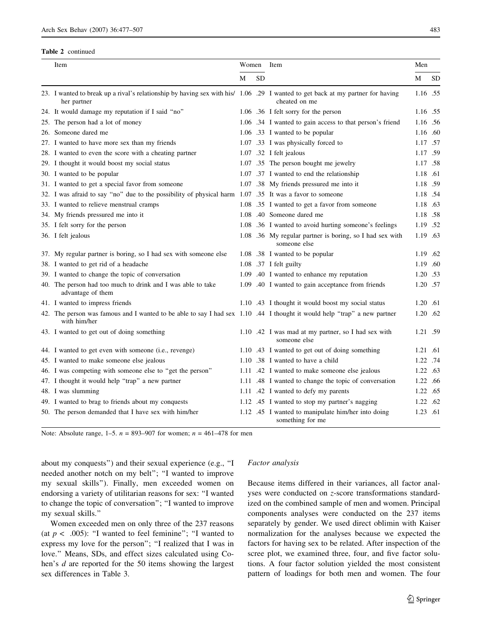| Item |                                                                                                                                               |   | Women Item | Men                                                                      |          |    |
|------|-----------------------------------------------------------------------------------------------------------------------------------------------|---|------------|--------------------------------------------------------------------------|----------|----|
|      |                                                                                                                                               | М | <b>SD</b>  |                                                                          | М        | SD |
|      | 23. I wanted to break up a rival's relationship by having sex with his/ 1.06 .29 I wanted to get back at my partner for having<br>her partner |   |            | cheated on me                                                            | 1.16 .55 |    |
|      | 24. It would damage my reputation if I said "no"                                                                                              |   |            | 1.06 .36 I felt sorry for the person                                     | 1.16 .55 |    |
|      | 25. The person had a lot of money                                                                                                             |   |            | 1.06 .34 I wanted to gain access to that person's friend                 | 1.16 .56 |    |
|      | 26. Someone dared me                                                                                                                          |   |            | 1.06 .33 I wanted to be popular                                          | 1.16 .60 |    |
|      | 27. I wanted to have more sex than my friends                                                                                                 |   |            | 1.07 .33 I was physically forced to                                      | 1.17 .57 |    |
|      | 28. I wanted to even the score with a cheating partner                                                                                        |   |            | 1.07 .32 I felt jealous                                                  | 1.17 .59 |    |
|      | 29. I thought it would boost my social status                                                                                                 |   |            | 1.07 .35 The person bought me jewelry                                    | 1.17 .58 |    |
|      | 30. I wanted to be popular                                                                                                                    |   |            | 1.07 .37 I wanted to end the relationship                                | 1.18 .61 |    |
|      | 31. I wanted to get a special favor from someone                                                                                              |   |            | 1.07 .38 My friends pressured me into it                                 | 1.18 .59 |    |
|      | 32. I was afraid to say "no" due to the possibility of physical harm 1.07 .35 It was a favor to someone                                       |   |            |                                                                          | 1.18 .54 |    |
|      | 33. I wanted to relieve menstrual cramps                                                                                                      |   |            | 1.08 .35 I wanted to get a favor from someone                            | 1.18 .63 |    |
|      | 34. My friends pressured me into it                                                                                                           |   |            | 1.08 .40 Someone dared me                                                | 1.18 .58 |    |
|      | 35. I felt sorry for the person                                                                                                               |   |            | 1.08 .36 I wanted to avoid hurting someone's feelings                    | 1.19 .52 |    |
|      | 36. I felt jealous                                                                                                                            |   |            | 1.08 .36 My regular partner is boring, so I had sex with<br>someone else | 1.19 .63 |    |
|      | 37. My regular partner is boring, so I had sex with someone else                                                                              |   |            | 1.08 .38 I wanted to be popular                                          | 1.19 .62 |    |
|      | 38. I wanted to get rid of a headache                                                                                                         |   |            | 1.08 .37 I felt guilty                                                   | 1.19 .60 |    |
|      | 39. I wanted to change the topic of conversation                                                                                              |   |            | 1.09 .40 I wanted to enhance my reputation                               | 1.20 .53 |    |
|      | 40. The person had too much to drink and I was able to take<br>advantage of them                                                              |   |            | 1.09 .40 I wanted to gain acceptance from friends                        | 1.20 .57 |    |
|      | 41. I wanted to impress friends                                                                                                               |   |            | 1.10 .43 I thought it would boost my social status                       | 1.20 .61 |    |
|      | 42. The person was famous and I wanted to be able to say I had sex 1.10 .44 I thought it would help "trap" a new partner<br>with him/her      |   |            |                                                                          | 1.20 .62 |    |
|      | 43. I wanted to get out of doing something                                                                                                    |   |            | 1.10 .42 I was mad at my partner, so I had sex with<br>someone else      | 1.21 .59 |    |
|      | 44. I wanted to get even with someone (i.e., revenge)                                                                                         |   |            | 1.10 .43 I wanted to get out of doing something                          | 1.21 .61 |    |
|      | 45. I wanted to make someone else jealous                                                                                                     |   |            | 1.10 .38 I wanted to have a child                                        | 1.22 .74 |    |
|      | 46. I was competing with someone else to "get the person"                                                                                     |   |            | 1.11 .42 I wanted to make someone else jealous                           | 1.22 .63 |    |
|      | 47. I thought it would help "trap" a new partner                                                                                              |   |            | 1.11 .48 I wanted to change the topic of conversation                    | 1.22 .66 |    |
|      | 48. I was slumming                                                                                                                            |   |            | 1.11 .42 I wanted to defy my parents                                     | 1.22 .65 |    |
|      | 49. I wanted to brag to friends about my conquests                                                                                            |   |            | 1.12 .45 I wanted to stop my partner's nagging                           | 1.22 .62 |    |
|      | 50. The person demanded that I have sex with him/her                                                                                          |   |            | 1.12 .45 I wanted to manipulate him/her into doing<br>something for me   | 1.23 .61 |    |

Note: Absolute range,  $1-5$ .  $n = 893-907$  for women;  $n = 461-478$  for men

about my conquests'') and their sexual experience (e.g., ''I needed another notch on my belt''; ''I wanted to improve my sexual skills''). Finally, men exceeded women on endorsing a variety of utilitarian reasons for sex: ''I wanted to change the topic of conversation''; ''I wanted to improve my sexual skills.''

Women exceeded men on only three of the 237 reasons (at  $p < .005$ ): "I wanted to feel feminine"; "I wanted to express my love for the person''; ''I realized that I was in love.'' Means, SDs, and effect sizes calculated using Cohen's d are reported for the 50 items showing the largest sex differences in Table 3.

#### Factor analysis

Because items differed in their variances, all factor analyses were conducted on z-score transformations standardized on the combined sample of men and women. Principal components analyses were conducted on the 237 items separately by gender. We used direct oblimin with Kaiser normalization for the analyses because we expected the factors for having sex to be related. After inspection of the scree plot, we examined three, four, and five factor solutions. A four factor solution yielded the most consistent pattern of loadings for both men and women. The four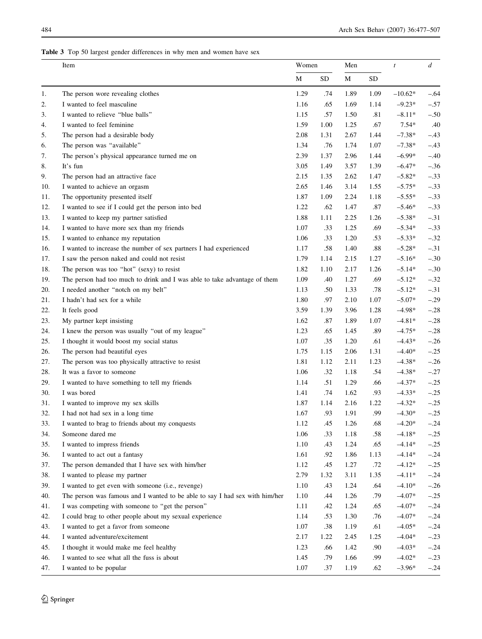# Table 3 Top 50 largest gender differences in why men and women have sex

|     | Item                                                                        |          | Women | Men         |      | $\boldsymbol{t}$ | d      |
|-----|-----------------------------------------------------------------------------|----------|-------|-------------|------|------------------|--------|
|     |                                                                             | M        | SD    | $\mathbf M$ | SD   |                  |        |
| 1.  | The person wore revealing clothes                                           | 1.29     | .74   | 1.89        | 1.09 | $-10.62*$        | $-.64$ |
| 2.  | I wanted to feel masculine                                                  | 1.16     | .65   | 1.69        | 1.14 | $-9.23*$         | $-.57$ |
| 3.  | I wanted to relieve "blue balls"                                            | 1.15     | .57   | 1.50        | .81  | $-8.11*$         | $-.50$ |
| 4.  | I wanted to feel feminine                                                   | 1.59     | 1.00  | 1.25        | .67  | $7.54*$          | .40    |
| 5.  | The person had a desirable body                                             | 2.08     | 1.31  | 2.67        | 1.44 | $-7.38*$         | $-.43$ |
| 6.  | The person was "available"                                                  | 1.34     | .76   | 1.74        | 1.07 | $-7.38*$         | $-.43$ |
| 7.  | The person's physical appearance turned me on                               | 2.39     | 1.37  | 2.96        | 1.44 | $-6.99*$         | $-.40$ |
| 8.  | It's fun                                                                    | 3.05     | 1.49  | 3.57        | 1.39 | $-6.47*$         | $-.36$ |
| 9.  | The person had an attractive face                                           | 2.15     | 1.35  | 2.62        | 1.47 | $-5.82*$         | $-.33$ |
| 10. | I wanted to achieve an orgasm                                               | 2.65     | 1.46  | 3.14        | 1.55 | $-5.75*$         | $-.33$ |
| 11. | The opportunity presented itself                                            | 1.87     | 1.09  | 2.24        | 1.18 | $-5.55*$         | $-.33$ |
| 12. | I wanted to see if I could get the person into bed                          | 1.22     | .62   | 1.47        | .87  | $-5.46*$         | $-.33$ |
| 13. | I wanted to keep my partner satisfied                                       | 1.88     | 1.11  | 2.25        | 1.26 | $-5.38*$         | $-.31$ |
| 14. | I wanted to have more sex than my friends                                   | 1.07     | .33   | 1.25        | .69  | $-5.34*$         | $-.33$ |
| 15. | I wanted to enhance my reputation                                           | 1.06     | .33   | 1.20        | .53  | $-5.33*$         | $-.32$ |
| 16. | I wanted to increase the number of sex partners I had experienced           | 1.17     | .58   | 1.40        | .88  | $-5.28*$         | $-.31$ |
| 17. | I saw the person naked and could not resist                                 | 1.79     | 1.14  | 2.15        | 1.27 | $-5.16*$         | $-.30$ |
| 18. | The person was too "hot" (sexy) to resist                                   | 1.82     | 1.10  | 2.17        | 1.26 | $-5.14*$         | $-.30$ |
| 19. | The person had too much to drink and I was able to take advantage of them   | 1.09     | .40   | 1.27        | .69  | $-5.12*$         | $-.32$ |
| 20. | I needed another "notch on my belt"                                         | 1.13     | .50   | 1.33        | .78  | $-5.12*$         | $-.31$ |
| 21. | I hadn't had sex for a while                                                | 1.80     | .97   | 2.10        | 1.07 | $-5.07*$         | $-.29$ |
| 22. | It feels good                                                               | 3.59     | 1.39  | 3.96        | 1.28 | $-4.98*$         | $-.28$ |
| 23. | My partner kept insisting                                                   | 1.62     | .87   | 1.89        | 1.07 | $-4.81*$         | $-.28$ |
| 24. | I knew the person was usually "out of my league"                            | 1.23     | .65   | 1.45        | .89  | $-4.75*$         | $-.28$ |
| 25. | I thought it would boost my social status                                   | 1.07     | .35   | 1.20        | .61  | $-4.43*$         | $-.26$ |
| 26. | The person had beautiful eyes                                               | 1.75     | 1.15  | 2.06        | 1.31 | $-4.40*$         | $-.25$ |
| 27. | The person was too physically attractive to resist                          | 1.81     | 1.12  | 2.11        | 1.23 | $-4.38*$         | $-.26$ |
| 28. | It was a favor to someone                                                   | 1.06     | .32   | 1.18        | .54  | $-4.38*$         | $-.27$ |
| 29. | I wanted to have something to tell my friends                               | 1.14     | .51   | 1.29        | .66  | $-4.37*$         | $-.25$ |
| 30. | I was bored                                                                 | 1.41     | .74   | 1.62        | .93  | $-4.33*$         | $-.25$ |
| 31. | I wanted to improve my sex skills                                           | 1.87     | 1.14  | 2.16        | 1.22 | $-4.32*$         | $-.25$ |
| 32. | I had not had sex in a long time                                            | 1.67     | .93   | 1.91        | .99  | $-4.30*$         | $-.25$ |
| 33. | I wanted to brag to friends about my conquests                              | $1.12\,$ | .45   | 1.26        | .68  | $-4.20*$         | $-.24$ |
| 34. | Someone dared me                                                            | 1.06     | .33   | 1.18        | .58  | $-4.18*$         | $-.25$ |
| 35. | I wanted to impress friends                                                 | 1.10     | .43   | 1.24        | .65  | $-4.14*$         | $-.25$ |
| 36. | I wanted to act out a fantasy                                               | 1.61     | .92   | 1.86        | 1.13 | $-4.14*$         | $-.24$ |
| 37. | The person demanded that I have sex with him/her                            | 1.12     | .45   | 1.27        | .72  | $-4.12*$         | $-.25$ |
| 38. | I wanted to please my partner                                               | 2.79     | 1.32  | 3.11        | 1.35 | $-4.11*$         | $-.24$ |
| 39. | I wanted to get even with someone (i.e., revenge)                           | $1.10\,$ | .43   | 1.24        | .64  | $-4.10*$         | $-.26$ |
| 40. | The person was famous and I wanted to be able to say I had sex with him/her | 1.10     | .44   | 1.26        | .79  | $-4.07*$         | $-.25$ |
| 41. | I was competing with someone to "get the person"                            | 1.11     | .42   | 1.24        | .65  | $-4.07*$         | $-.24$ |
| 42. | I could brag to other people about my sexual experience                     | 1.14     | .53   | 1.30        | .76  | $-4.07*$         | $-.24$ |
| 43. | I wanted to get a favor from someone                                        | 1.07     | .38   | 1.19        | .61  | $-4.05*$         | $-.24$ |
| 44. | I wanted adventure/excitement                                               | 2.17     | 1.22  | 2.45        | 1.25 | $-4.04*$         | $-.23$ |
| 45. | I thought it would make me feel healthy                                     | 1.23     | .66   | 1.42        | .90  | $-4.03*$         | $-.24$ |
| 46. | I wanted to see what all the fuss is about                                  | 1.45     | .79   | 1.66        | .99  | $-4.02*$         | $-.23$ |
| 47. | I wanted to be popular                                                      | 1.07     | .37   | 1.19        | .62  | $-3.96*$         | $-.24$ |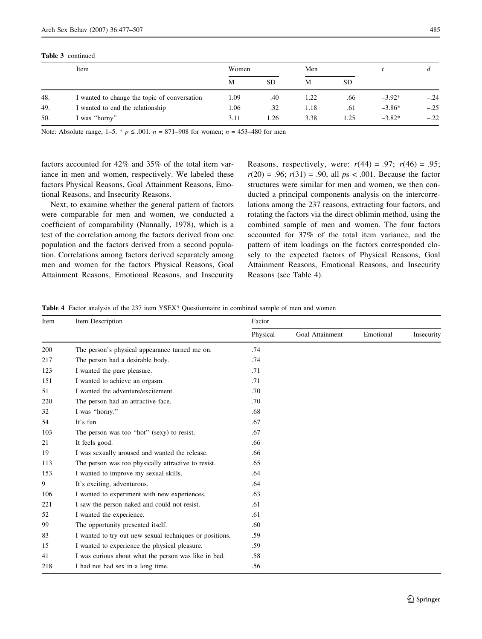Table 3 continued

|     | Item                                         | Women |           | Men  |           |          | a      |
|-----|----------------------------------------------|-------|-----------|------|-----------|----------|--------|
|     |                                              | M     | <b>SD</b> | М    | <b>SD</b> |          |        |
| 48. | I wanted to change the topic of conversation | 1.09  | .40       | 1.22 | .66       | $-3.92*$ | $-.24$ |
| 49. | I wanted to end the relationship             | 1.06  | .32       | 1.18 | .61       | $-3.86*$ | $-.25$ |
| 50. | I was "horny"                                | 3.11  | .26       | 3.38 | 1.25      | $-3.82*$ | $-.22$ |

Note: Absolute range,  $1-5. * p \le 0.001$ .  $n = 871-908$  for women;  $n = 453-480$  for men

factors accounted for 42% and 35% of the total item variance in men and women, respectively. We labeled these factors Physical Reasons, Goal Attainment Reasons, Emotional Reasons, and Insecurity Reasons.

Next, to examine whether the general pattern of factors were comparable for men and women, we conducted a coefficient of comparability (Nunnally, 1978), which is a test of the correlation among the factors derived from one population and the factors derived from a second population. Correlations among factors derived separately among men and women for the factors Physical Reasons, Goal Attainment Reasons, Emotional Reasons, and Insecurity

Reasons, respectively, were:  $r(44) = .97$ ;  $r(46) = .95$ ;  $r(20) = .96$ ;  $r(31) = .90$ , all  $ps < .001$ . Because the factor structures were similar for men and women, we then conducted a principal components analysis on the intercorrelations among the 237 reasons, extracting four factors, and rotating the factors via the direct oblimin method, using the combined sample of men and women. The four factors accounted for 37% of the total item variance, and the pattern of item loadings on the factors corresponded closely to the expected factors of Physical Reasons, Goal Attainment Reasons, Emotional Reasons, and Insecurity Reasons (see Table 4).

| Item | Item Description                                        | Factor   |                 |           |            |
|------|---------------------------------------------------------|----------|-----------------|-----------|------------|
|      |                                                         | Physical | Goal Attainment | Emotional | Insecurity |
| 200  | The person's physical appearance turned me on.          | .74      |                 |           |            |
| 217  | The person had a desirable body.                        | .74      |                 |           |            |
| 123  | I wanted the pure pleasure.                             | .71      |                 |           |            |
| 151  | I wanted to achieve an orgasm.                          | .71      |                 |           |            |
| 51   | I wanted the adventure/excitement.                      | .70      |                 |           |            |
| 220  | The person had an attractive face.                      | .70      |                 |           |            |
| 32   | I was "horny."                                          | .68      |                 |           |            |
| 54   | It's fun.                                               | .67      |                 |           |            |
| 103  | The person was too "hot" (sexy) to resist.              | .67      |                 |           |            |
| 21   | It feels good.                                          | .66      |                 |           |            |
| 19   | I was sexually aroused and wanted the release.          | .66      |                 |           |            |
| 113  | The person was too physically attractive to resist.     | .65      |                 |           |            |
| 153  | I wanted to improve my sexual skills.                   | .64      |                 |           |            |
| 9    | It's exciting, adventurous.                             | .64      |                 |           |            |
| 106  | I wanted to experiment with new experiences.            | .63      |                 |           |            |
| 221  | I saw the person naked and could not resist.            | .61      |                 |           |            |
| 52   | I wanted the experience.                                | .61      |                 |           |            |
| 99   | The opportunity presented itself.                       | .60      |                 |           |            |
| 83   | I wanted to try out new sexual techniques or positions. | .59      |                 |           |            |
| 15   | I wanted to experience the physical pleasure.           | .59      |                 |           |            |
| 41   | I was curious about what the person was like in bed.    | .58      |                 |           |            |
| 218  | I had not had sex in a long time.                       | .56      |                 |           |            |

Table 4 Factor analysis of the 237 item YSEX? Questionnaire in combined sample of men and women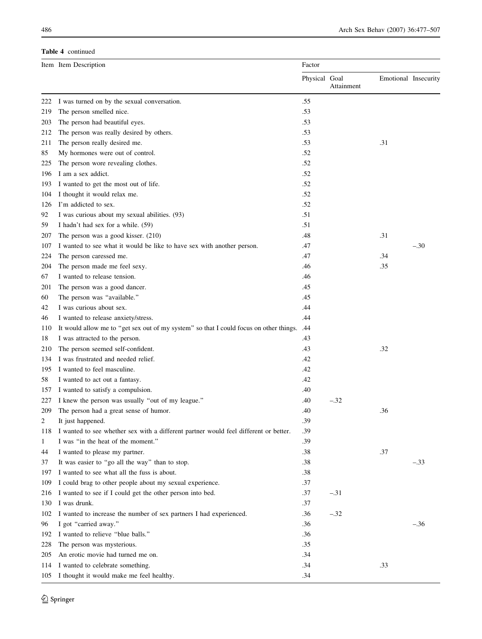|                | Item Item Description                                                                  | Factor        |            |                      |        |
|----------------|----------------------------------------------------------------------------------------|---------------|------------|----------------------|--------|
|                |                                                                                        | Physical Goal | Attainment | Emotional Insecurity |        |
| 222            | I was turned on by the sexual conversation.                                            | .55           |            |                      |        |
| 219            | The person smelled nice.                                                               | .53           |            |                      |        |
| 203            | The person had beautiful eyes.                                                         | .53           |            |                      |        |
| 212            | The person was really desired by others.                                               | .53           |            |                      |        |
| 211            | The person really desired me.                                                          | .53           |            | .31                  |        |
| 85             | My hormones were out of control.                                                       | .52           |            |                      |        |
| 225            | The person wore revealing clothes.                                                     | .52           |            |                      |        |
| 196            | I am a sex addict.                                                                     | .52           |            |                      |        |
| 193            | I wanted to get the most out of life.                                                  | .52           |            |                      |        |
| 104            | I thought it would relax me.                                                           | .52           |            |                      |        |
| 126            | I'm addicted to sex.                                                                   | .52           |            |                      |        |
| 92             | I was curious about my sexual abilities. (93)                                          | .51           |            |                      |        |
| 59             | I hadn't had sex for a while. (59)                                                     | .51           |            |                      |        |
| 207            | The person was a good kisser. $(210)$                                                  | .48           |            | .31                  |        |
| 107            | I wanted to see what it would be like to have sex with another person.                 | .47           |            |                      | $-.30$ |
| 224            | The person caressed me.                                                                | .47           |            | .34                  |        |
| 204            | The person made me feel sexy.                                                          | .46           |            | .35                  |        |
| 67             | I wanted to release tension.                                                           | .46           |            |                      |        |
| 201            | The person was a good dancer.                                                          | .45           |            |                      |        |
| 60             | The person was "available."                                                            | .45           |            |                      |        |
| 42             | I was curious about sex.                                                               | .44           |            |                      |        |
| 46             | I wanted to release anxiety/stress.                                                    | .44           |            |                      |        |
| 110            | It would allow me to "get sex out of my system" so that I could focus on other things. | .44           |            |                      |        |
| 18             | I was attracted to the person.                                                         | .43           |            |                      |        |
| 210            | The person seemed self-confident.                                                      | .43           |            | .32                  |        |
| 134            | I was frustrated and needed relief.                                                    | .42           |            |                      |        |
| 195            | I wanted to feel masculine.                                                            | .42           |            |                      |        |
| 58             | I wanted to act out a fantasy.                                                         | .42           |            |                      |        |
| 157            | I wanted to satisfy a compulsion.                                                      | .40           |            |                      |        |
| 227            | I knew the person was usually "out of my league."                                      | .40           | $-.32$     |                      |        |
| 209            | The person had a great sense of humor.                                                 | .40           |            | .36                  |        |
| $\overline{c}$ | It just happened.                                                                      | .39           |            |                      |        |
| 118            | I wanted to see whether sex with a different partner would feel different or better.   | .39           |            |                      |        |
| 1              | I was "in the heat of the moment."                                                     | .39           |            |                      |        |
| 44             | I wanted to please my partner.                                                         | .38           |            | .37                  |        |
| 37             | It was easier to "go all the way" than to stop.                                        | .38           |            |                      | $-.33$ |
| 197            | I wanted to see what all the fuss is about.                                            | .38           |            |                      |        |
| 109            | I could brag to other people about my sexual experience.                               | .37           |            |                      |        |
| 216            | I wanted to see if I could get the other person into bed.                              | .37           | $-.31$     |                      |        |
| 130            | I was drunk.                                                                           | .37           |            |                      |        |
| 102            | I wanted to increase the number of sex partners I had experienced.                     | .36           | $-.32$     |                      |        |
| 96             | I got "carried away."                                                                  | .36           |            |                      | $-.36$ |
| 192            | I wanted to relieve "blue balls."                                                      | .36           |            |                      |        |
| 228            | The person was mysterious.                                                             | .35           |            |                      |        |
| 205            | An erotic movie had turned me on.                                                      | .34           |            |                      |        |
| 114            | I wanted to celebrate something.                                                       | .34           |            | .33                  |        |
|                | 105 I thought it would make me feel healthy.                                           | .34           |            |                      |        |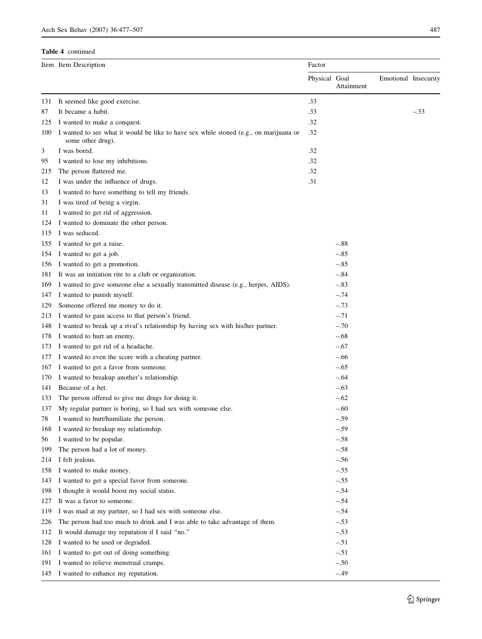|     | Item Item Description                                                                                      | Factor        |            |                      |        |  |  |
|-----|------------------------------------------------------------------------------------------------------------|---------------|------------|----------------------|--------|--|--|
|     |                                                                                                            | Physical Goal | Attainment | Emotional Insecurity |        |  |  |
| 131 | It seemed like good exercise.                                                                              | .33           |            |                      |        |  |  |
| 87  | It became a habit.                                                                                         | .33           |            |                      | $-.33$ |  |  |
|     | 125 I wanted to make a conquest.                                                                           | .32           |            |                      |        |  |  |
| 100 | I wanted to see what it would be like to have sex while stoned (e.g., on marijuana or<br>some other drug). | .32           |            |                      |        |  |  |
| 3   | I was bored.                                                                                               | .32           |            |                      |        |  |  |
| 95  | I wanted to lose my inhibitions.                                                                           | .32           |            |                      |        |  |  |
| 215 | The person flattered me.                                                                                   | .32           |            |                      |        |  |  |
| 12  | I was under the influence of drugs.                                                                        | .31           |            |                      |        |  |  |
| 13  | I wanted to have something to tell my friends.                                                             |               |            |                      |        |  |  |
| 31  | I was tired of being a virgin.                                                                             |               |            |                      |        |  |  |
| 11  | I wanted to get rid of aggression.                                                                         |               |            |                      |        |  |  |
| 124 | I wanted to dominate the other person.                                                                     |               |            |                      |        |  |  |
| 115 | I was seduced.                                                                                             |               |            |                      |        |  |  |
| 155 | I wanted to get a raise.                                                                                   |               | $-.88$     |                      |        |  |  |
| 154 | I wanted to get a job.                                                                                     |               | $-.85$     |                      |        |  |  |
|     | 156 I wanted to get a promotion.                                                                           |               | $-.85$     |                      |        |  |  |
| 181 | It was an initiation rite to a club or organization.                                                       |               | $-.84$     |                      |        |  |  |
| 169 | I wanted to give someone else a sexually transmitted disease (e.g., herpes, AIDS).                         |               | $-.83$     |                      |        |  |  |
| 147 | I wanted to punish myself.                                                                                 |               | $-.74$     |                      |        |  |  |
| 129 | Someone offered me money to do it.                                                                         |               | $-.73$     |                      |        |  |  |
| 213 | I wanted to gain access to that person's friend.                                                           |               | $-.71$     |                      |        |  |  |
| 148 | I wanted to break up a rival's relationship by having sex with his/her partner.                            |               | $-.70$     |                      |        |  |  |
| 178 | I wanted to hurt an enemy.                                                                                 |               | $-.68$     |                      |        |  |  |
| 173 | I wanted to get rid of a headache.                                                                         |               | $-.67$     |                      |        |  |  |
| 177 | I wanted to even the score with a cheating partner.                                                        |               | $-.66$     |                      |        |  |  |
| 167 | I wanted to get a favor from someone.                                                                      |               | $-.65$     |                      |        |  |  |
| 170 | I wanted to breakup another's relationship.                                                                |               | $-.64$     |                      |        |  |  |
| 141 | Because of a bet.                                                                                          |               | $-.63$     |                      |        |  |  |
| 133 | The person offered to give me drugs for doing it.                                                          |               | $-.62$     |                      |        |  |  |
| 137 | My regular partner is boring, so I had sex with someone else.                                              |               | $-.60$     |                      |        |  |  |
| 78  | I wanted to hurt/humiliate the person.                                                                     |               | $-.59$     |                      |        |  |  |
| 168 | I wanted to breakup my relationship.                                                                       |               | $-.59$     |                      |        |  |  |
| 56  | I wanted to be popular.                                                                                    |               | $-.58$     |                      |        |  |  |
| 199 | The person had a lot of money.                                                                             |               | $-.58$     |                      |        |  |  |
| 214 | I felt jealous.                                                                                            |               | $-.56$     |                      |        |  |  |
| 158 | I wanted to make money.                                                                                    |               | $-.55$     |                      |        |  |  |
| 143 | I wanted to get a special favor from someone.                                                              |               | $-.55$     |                      |        |  |  |
| 198 | I thought it would boost my social status.                                                                 |               | $-.54$     |                      |        |  |  |
| 127 | It was a favor to someone.                                                                                 |               | $-.54$     |                      |        |  |  |
| 119 | I was mad at my partner, so I had sex with someone else.                                                   |               | $-.54$     |                      |        |  |  |
| 226 | The person had too much to drink and I was able to take advantage of them.                                 |               | $-.53$     |                      |        |  |  |
| 112 | It would damage my reputation if I said "no."                                                              |               | $-.53$     |                      |        |  |  |
| 128 | I wanted to be used or degraded.                                                                           |               | $-.51$     |                      |        |  |  |
| 161 | I wanted to get out of doing something.                                                                    |               | $-.51$     |                      |        |  |  |
| 191 | I wanted to relieve menstrual cramps.                                                                      |               | $-.50$     |                      |        |  |  |
|     | 145 I wanted to enhance my reputation.                                                                     |               | $-.49$     |                      |        |  |  |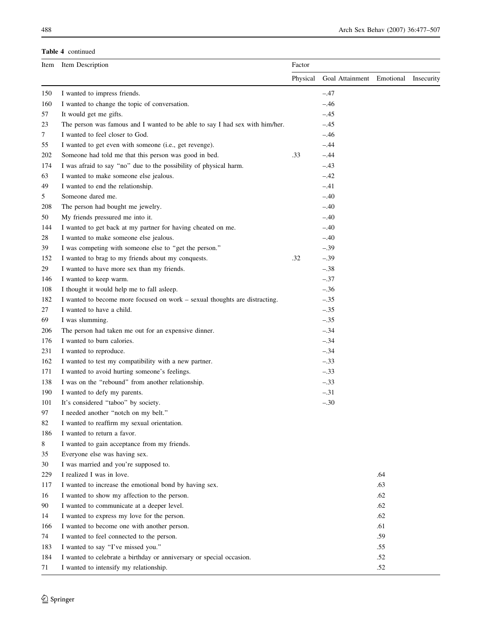|        | Item Item Description                                                        | Factor   |                                      |     |  |
|--------|------------------------------------------------------------------------------|----------|--------------------------------------|-----|--|
|        |                                                                              | Physical | Goal Attainment Emotional Insecurity |     |  |
| 150    | I wanted to impress friends.                                                 |          | $-.47$                               |     |  |
| 160    | I wanted to change the topic of conversation.                                |          | $-.46$                               |     |  |
| 57     | It would get me gifts.                                                       |          | $-.45$                               |     |  |
| 23     | The person was famous and I wanted to be able to say I had sex with him/her. |          | $-.45$                               |     |  |
| $\tau$ | I wanted to feel closer to God.                                              |          | $-.46$                               |     |  |
| 55     | I wanted to get even with someone (i.e., get revenge).                       |          | $-.44$                               |     |  |
| 202    | Someone had told me that this person was good in bed.                        | .33      | $-.44$                               |     |  |
| 174    | I was afraid to say "no" due to the possibility of physical harm.            |          | $-.43$                               |     |  |
| 63     | I wanted to make someone else jealous.                                       |          | $-.42$                               |     |  |
| 49     | I wanted to end the relationship.                                            |          | $-.41$                               |     |  |
| 5      | Someone dared me.                                                            |          | $-.40$                               |     |  |
| 208    | The person had bought me jewelry.                                            |          | $-.40$                               |     |  |
| 50     | My friends pressured me into it.                                             |          | $-.40$                               |     |  |
| 144    | I wanted to get back at my partner for having cheated on me.                 |          | $-.40$                               |     |  |
| 28     | I wanted to make someone else jealous.                                       |          | $-.40$                               |     |  |
| 39     | I was competing with someone else to "get the person."                       |          | $-.39$                               |     |  |
| 152    | I wanted to brag to my friends about my conquests.                           | .32      | $-.39$                               |     |  |
| 29     | I wanted to have more sex than my friends.                                   |          | $-.38$                               |     |  |
| 146    | I wanted to keep warm.                                                       |          | $-.37$                               |     |  |
| 108    | I thought it would help me to fall asleep.                                   |          | $-.36$                               |     |  |
| 182    | I wanted to become more focused on work – sexual thoughts are distracting.   |          | $-.35$                               |     |  |
| 27     | I wanted to have a child.                                                    |          | $-.35$                               |     |  |
| 69     | I was slumming.                                                              |          | $-.35$                               |     |  |
| 206    | The person had taken me out for an expensive dinner.                         |          | $-.34$                               |     |  |
| 176    | I wanted to burn calories.                                                   |          | $-.34$                               |     |  |
| 231    | I wanted to reproduce.                                                       |          | $-.34$                               |     |  |
| 162    | I wanted to test my compatibility with a new partner.                        |          | $-.33$                               |     |  |
| 171    | I wanted to avoid hurting someone's feelings.                                |          | $-.33$                               |     |  |
| 138    | I was on the "rebound" from another relationship.                            |          | $-.33$                               |     |  |
| 190    | I wanted to defy my parents.                                                 |          | $-.31$                               |     |  |
| 101    | It's considered "taboo" by society.                                          |          | $-.30$                               |     |  |
| 97     | I needed another "notch on my belt."                                         |          |                                      |     |  |
| 82     | I wanted to reaffirm my sexual orientation.                                  |          |                                      |     |  |
| 186    | I wanted to return a favor.                                                  |          |                                      |     |  |
| 8      | I wanted to gain acceptance from my friends.                                 |          |                                      |     |  |
| 35     | Everyone else was having sex.                                                |          |                                      |     |  |
| 30     | I was married and you're supposed to.                                        |          |                                      |     |  |
| 229    | I realized I was in love.                                                    |          |                                      | .64 |  |
| 117    | I wanted to increase the emotional bond by having sex.                       |          |                                      | .63 |  |
| 16     | I wanted to show my affection to the person.                                 |          |                                      | .62 |  |
| 90     | I wanted to communicate at a deeper level.                                   |          |                                      | .62 |  |
| 14     | I wanted to express my love for the person.                                  |          |                                      | .62 |  |
| 166    | I wanted to become one with another person.                                  |          |                                      | .61 |  |
| 74     | I wanted to feel connected to the person.                                    |          |                                      | .59 |  |
| 183    | I wanted to say "I've missed you."                                           |          |                                      | .55 |  |
| 184    | I wanted to celebrate a birthday or anniversary or special occasion.         |          |                                      | .52 |  |
| 71     | I wanted to intensify my relationship.                                       |          |                                      | .52 |  |
|        |                                                                              |          |                                      |     |  |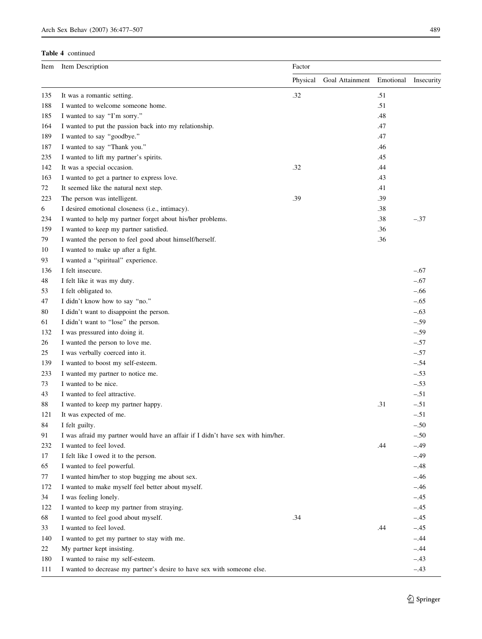|        | Item Item Description                                                           | Factor   |                           |     |            |
|--------|---------------------------------------------------------------------------------|----------|---------------------------|-----|------------|
|        |                                                                                 | Physical | Goal Attainment Emotional |     | Insecurity |
| 135    | It was a romantic setting.                                                      | .32      |                           | .51 |            |
| 188    | I wanted to welcome someone home.                                               |          |                           | .51 |            |
| 185    | I wanted to say "I'm sorry."                                                    |          |                           | .48 |            |
| 164    | I wanted to put the passion back into my relationship.                          |          |                           | .47 |            |
| 189    | I wanted to say "goodbye."                                                      |          |                           | .47 |            |
| 187    | I wanted to say "Thank you."                                                    |          |                           | .46 |            |
| 235    | I wanted to lift my partner's spirits.                                          |          |                           | .45 |            |
| 142    | It was a special occasion.                                                      | .32      |                           | .44 |            |
| 163    | I wanted to get a partner to express love.                                      |          |                           | .43 |            |
| 72     | It seemed like the natural next step.                                           |          |                           | .41 |            |
| 223    | The person was intelligent.                                                     | .39      |                           | .39 |            |
| 6      | I desired emotional closeness (i.e., intimacy).                                 |          |                           | .38 |            |
| 234    | I wanted to help my partner forget about his/her problems.                      |          |                           | .38 | $-.37$     |
| 159    | I wanted to keep my partner satisfied.                                          |          |                           | .36 |            |
| 79     | I wanted the person to feel good about himself/herself.                         |          |                           | .36 |            |
| 10     | I wanted to make up after a fight.                                              |          |                           |     |            |
| 93     | I wanted a "spiritual" experience.                                              |          |                           |     |            |
| 136    | I felt insecure.                                                                |          |                           |     | $-.67$     |
| $48\,$ | I felt like it was my duty.                                                     |          |                           |     | $-.67$     |
| 53     | I felt obligated to.                                                            |          |                           |     | $-.66$     |
| 47     | I didn't know how to say "no."                                                  |          |                           |     | $-.65$     |
| 80     | I didn't want to disappoint the person.                                         |          |                           |     | $-.63$     |
| 61     | I didn't want to "lose" the person.                                             |          |                           |     | $-.59$     |
| 132    | I was pressured into doing it.                                                  |          |                           |     | $-.59$     |
| 26     | I wanted the person to love me.                                                 |          |                           |     | $-.57$     |
| 25     | I was verbally coerced into it.                                                 |          |                           |     | $-.57$     |
| 139    | I wanted to boost my self-esteem.                                               |          |                           |     | $-.54$     |
| 233    | I wanted my partner to notice me.                                               |          |                           |     | $-.53$     |
| 73     | I wanted to be nice.                                                            |          |                           |     | $-.53$     |
| 43     | I wanted to feel attractive.                                                    |          |                           |     | $-.51$     |
| 88     | I wanted to keep my partner happy.                                              |          |                           | .31 | $-.51$     |
| 121    | It was expected of me.                                                          |          |                           |     | $-.51$     |
| 84     | I felt guilty.                                                                  |          |                           |     | $-.50$     |
| 91     | I was afraid my partner would have an affair if I didn't have sex with him/her. |          |                           |     | $-.50$     |
| 232    | I wanted to feel loved.                                                         |          |                           | .44 | $-.49$     |
| 17     | I felt like I owed it to the person.                                            |          |                           |     | $-.49$     |
| 65     | I wanted to feel powerful.                                                      |          |                           |     | $-.48$     |
| 77     | I wanted him/her to stop bugging me about sex.                                  |          |                           |     | $-.46$     |
| 172    | I wanted to make myself feel better about myself.                               |          |                           |     | $-.46$     |
| 34     | I was feeling lonely.                                                           |          |                           |     | $-.45$     |
| 122    | I wanted to keep my partner from straying.                                      |          |                           |     | $-.45$     |
| 68     | I wanted to feel good about myself.                                             | .34      |                           |     | $-.45$     |
| 33     | I wanted to feel loved.                                                         |          |                           | .44 | $-.45$     |
| 140    | I wanted to get my partner to stay with me.                                     |          |                           |     | $-.44$     |
| 22     | My partner kept insisting.                                                      |          |                           |     | $-.44$     |
| 180    | I wanted to raise my self-esteem.                                               |          |                           |     | $-.43$     |
| 111    | I wanted to decrease my partner's desire to have sex with someone else.         |          |                           |     | $-.43$     |
|        |                                                                                 |          |                           |     |            |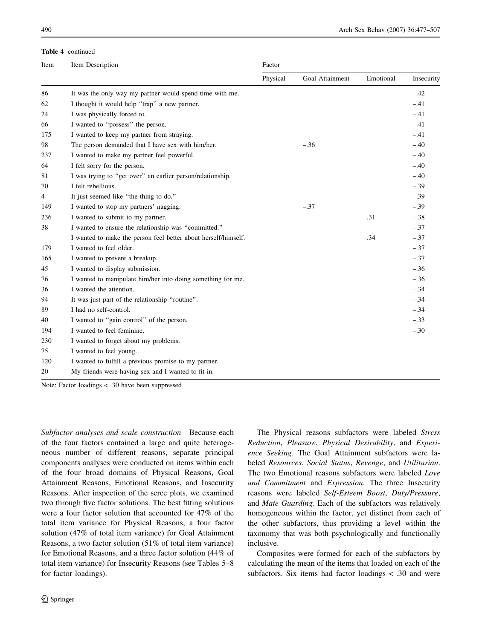| Item | Item Description                                               | Factor   |                 |           |            |
|------|----------------------------------------------------------------|----------|-----------------|-----------|------------|
|      |                                                                | Physical | Goal Attainment | Emotional | Insecurity |
| 86   | It was the only way my partner would spend time with me.       |          |                 |           | $-.42$     |
| 62   | I thought it would help "trap" a new partner.                  |          |                 |           | $-.41$     |
| 24   | I was physically forced to.                                    |          |                 |           | $-.41$     |
| 66   | I wanted to "possess" the person.                              |          |                 |           | $-.41$     |
| 175  | I wanted to keep my partner from straying.                     |          |                 |           | $-.41$     |
| 98   | The person demanded that I have sex with him/her.              |          | $-.36$          |           | $-.40$     |
| 237  | I wanted to make my partner feel powerful.                     |          |                 |           | $-.40$     |
| 64   | I felt sorry for the person.                                   |          |                 |           | $-.40$     |
| 81   | I was trying to "get over" an earlier person/relationship.     |          |                 |           | $-.40$     |
| 70   | I felt rebellious.                                             |          |                 |           | $-.39$     |
| 4    | It just seemed like "the thing to do."                         |          |                 |           | $-.39$     |
| 149  | I wanted to stop my partners' nagging.                         |          | $-.37$          |           | $-.39$     |
| 236  | I wanted to submit to my partner.                              |          |                 | .31       | $-.38$     |
| 38   | I wanted to ensure the relationship was "committed."           |          |                 |           | $-.37$     |
|      | I wanted to make the person feel better about herself/himself. |          |                 | .34       | $-.37$     |
| 179  | I wanted to feel older.                                        |          |                 |           | $-.37$     |
| 165  | I wanted to prevent a breakup.                                 |          |                 |           | $-.37$     |
| 45   | I wanted to display submission.                                |          |                 |           | $-.36$     |
| 76   | I wanted to manipulate him/her into doing something for me.    |          |                 |           | $-.36$     |
| 36   | I wanted the attention.                                        |          |                 |           | $-.34$     |
| 94   | It was just part of the relationship "routine".                |          |                 |           | $-.34$     |
| 89   | I had no self-control.                                         |          |                 |           | $-.34$     |
| 40   | I wanted to "gain control" of the person.                      |          |                 |           | $-.33$     |
| 194  | I wanted to feel feminine.                                     |          |                 |           | $-.30$     |
| 230  | I wanted to forget about my problems.                          |          |                 |           |            |
| 75   | I wanted to feel young.                                        |          |                 |           |            |
| 120  | I wanted to fulfill a previous promise to my partner.          |          |                 |           |            |
| 20   | My friends were having sex and I wanted to fit in.             |          |                 |           |            |

Note: Factor loadings < .30 have been suppressed

Subfactor analyses and scale construction Because each of the four factors contained a large and quite heterogeneous number of different reasons, separate principal components analyses were conducted on items within each of the four broad domains of Physical Reasons, Goal Attainment Reasons, Emotional Reasons, and Insecurity Reasons. After inspection of the scree plots, we examined two through five factor solutions. The best fitting solutions were a four factor solution that accounted for 47% of the total item variance for Physical Reasons, a four factor solution (47% of total item variance) for Goal Attainment Reasons, a two factor solution (51% of total item variance) for Emotional Reasons, and a three factor solution (44% of total item variance) for Insecurity Reasons (see Tables 5–8 for factor loadings).

The Physical reasons subfactors were labeled Stress Reduction, Pleasure, Physical Desirability, and Experience Seeking. The Goal Attainment subfactors were labeled Resources, Social Status, Revenge, and Utilitarian. The two Emotional reasons subfactors were labeled Love and Commitment and Expression. The three Insecurity reasons were labeled Self-Esteem Boost, Duty/Pressure, and Mate Guarding. Each of the subfactors was relatively homogeneous within the factor, yet distinct from each of the other subfactors, thus providing a level within the taxonomy that was both psychologically and functionally inclusive.

Composites were formed for each of the subfactors by calculating the mean of the items that loaded on each of the subfactors. Six items had factor loadings < .30 and were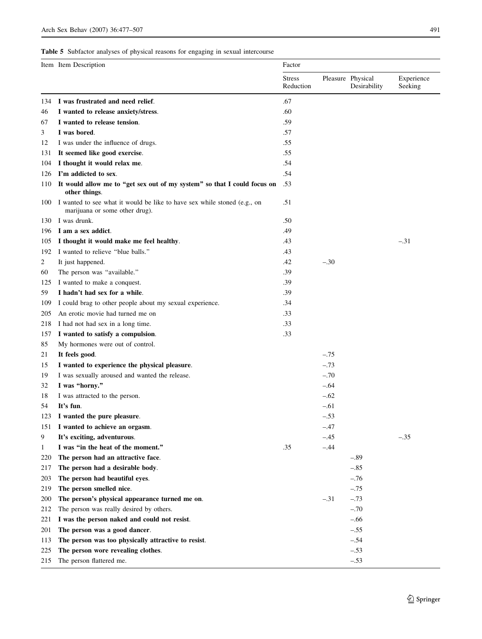## Table 5 Subfactor analyses of physical reasons for engaging in sexual intercourse

|     | Item Item Description                                                                                      | Factor                     |        |                                   |                       |  |  |
|-----|------------------------------------------------------------------------------------------------------------|----------------------------|--------|-----------------------------------|-----------------------|--|--|
|     |                                                                                                            | <b>Stress</b><br>Reduction |        | Pleasure Physical<br>Desirability | Experience<br>Seeking |  |  |
| 134 | I was frustrated and need relief.                                                                          | .67                        |        |                                   |                       |  |  |
| 46  | I wanted to release anxiety/stress.                                                                        | .60                        |        |                                   |                       |  |  |
| 67  | I wanted to release tension.                                                                               | .59                        |        |                                   |                       |  |  |
| 3   | I was bored.                                                                                               | .57                        |        |                                   |                       |  |  |
| 12  | I was under the influence of drugs.                                                                        | .55                        |        |                                   |                       |  |  |
| 131 | It seemed like good exercise.                                                                              | .55                        |        |                                   |                       |  |  |
| 104 | I thought it would relax me.                                                                               | .54                        |        |                                   |                       |  |  |
| 126 | I'm addicted to sex.                                                                                       | .54                        |        |                                   |                       |  |  |
| 110 | It would allow me to "get sex out of my system" so that I could focus on<br>other things.                  | .53                        |        |                                   |                       |  |  |
| 100 | I wanted to see what it would be like to have sex while stoned (e.g., on<br>marijuana or some other drug). | .51                        |        |                                   |                       |  |  |
| 130 | I was drunk.                                                                                               | .50                        |        |                                   |                       |  |  |
| 196 | I am a sex addict.                                                                                         | .49                        |        |                                   |                       |  |  |
| 105 | I thought it would make me feel healthy.                                                                   | .43                        |        |                                   | $-.31$                |  |  |
| 192 | I wanted to relieve "blue balls."                                                                          | .43                        |        |                                   |                       |  |  |
| 2   | It just happened.                                                                                          | .42                        | $-.30$ |                                   |                       |  |  |
| 60  | The person was "available."                                                                                | .39                        |        |                                   |                       |  |  |
| 125 | I wanted to make a conquest.                                                                               | .39                        |        |                                   |                       |  |  |
| 59  | I hadn't had sex for a while.                                                                              | .39                        |        |                                   |                       |  |  |
| 109 | I could brag to other people about my sexual experience.                                                   | .34                        |        |                                   |                       |  |  |
| 205 | An erotic movie had turned me on                                                                           | .33                        |        |                                   |                       |  |  |
| 218 | I had not had sex in a long time.                                                                          | .33                        |        |                                   |                       |  |  |
| 157 | I wanted to satisfy a compulsion.                                                                          | .33                        |        |                                   |                       |  |  |
| 85  | My hormones were out of control.                                                                           |                            |        |                                   |                       |  |  |
| 21  | It feels good.                                                                                             |                            | $-.75$ |                                   |                       |  |  |
| 15  | I wanted to experience the physical pleasure.                                                              |                            | $-.73$ |                                   |                       |  |  |
| 19  | I was sexually aroused and wanted the release.                                                             |                            | $-.70$ |                                   |                       |  |  |
| 32  | I was "horny."                                                                                             |                            | $-.64$ |                                   |                       |  |  |
| 18  | I was attracted to the person.                                                                             |                            | $-.62$ |                                   |                       |  |  |
| 54  | It's fun.                                                                                                  |                            | $-.61$ |                                   |                       |  |  |
| 123 | I wanted the pure pleasure.                                                                                |                            | $-.53$ |                                   |                       |  |  |
|     | 151 I wanted to achieve an orgasm.                                                                         |                            | $-.47$ |                                   |                       |  |  |
| 9   | It's exciting, adventurous.                                                                                |                            | $-.45$ |                                   | -.35                  |  |  |
| 1   | I was "in the heat of the moment."                                                                         | .35                        | $-.44$ |                                   |                       |  |  |
| 220 | The person had an attractive face.                                                                         |                            |        | $-.89$                            |                       |  |  |
| 217 | The person had a desirable body.                                                                           |                            |        | $-.85$                            |                       |  |  |
| 203 | The person had beautiful eyes.                                                                             |                            |        | $-.76$                            |                       |  |  |
| 219 | The person smelled nice.                                                                                   |                            |        | $-.75$                            |                       |  |  |
| 200 | The person's physical appearance turned me on.                                                             |                            | $-.31$ | $-.73$                            |                       |  |  |
| 212 | The person was really desired by others.                                                                   |                            |        | $-.70$                            |                       |  |  |
| 221 | I was the person naked and could not resist.                                                               |                            |        | $-.66$                            |                       |  |  |
| 201 | The person was a good dancer.                                                                              |                            |        | $-.55$                            |                       |  |  |
| 113 | The person was too physically attractive to resist.                                                        |                            |        | $-.54$                            |                       |  |  |
| 225 | The person wore revealing clothes.                                                                         |                            |        | $-.53$                            |                       |  |  |
| 215 | The person flattered me.                                                                                   |                            |        | $-.53$                            |                       |  |  |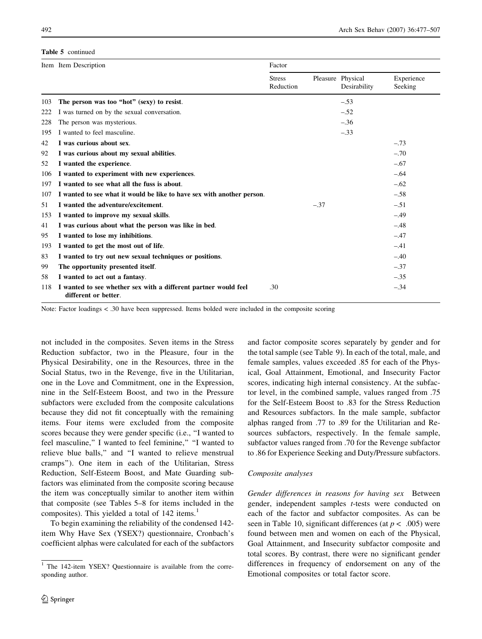|     | Item Item Description                                                                   | Factor                     |                   |              |                       |  |  |
|-----|-----------------------------------------------------------------------------------------|----------------------------|-------------------|--------------|-----------------------|--|--|
|     |                                                                                         | <b>Stress</b><br>Reduction | Pleasure Physical | Desirability | Experience<br>Seeking |  |  |
| 103 | The person was too "hot" (sexy) to resist.                                              |                            |                   | $-.53$       |                       |  |  |
| 222 | I was turned on by the sexual conversation.                                             |                            |                   | $-.52$       |                       |  |  |
| 228 | The person was mysterious.                                                              |                            |                   | $-.36$       |                       |  |  |
| 195 | I wanted to feel masculine.                                                             |                            |                   | $-.33$       |                       |  |  |
| 42  | I was curious about sex.                                                                |                            |                   |              | $-.73$                |  |  |
| 92  | I was curious about my sexual abilities.                                                |                            |                   |              | $-.70$                |  |  |
| 52  | I wanted the experience.                                                                |                            |                   |              | $-.67$                |  |  |
| 106 | I wanted to experiment with new experiences.                                            |                            |                   |              | $-.64$                |  |  |
| 197 | I wanted to see what all the fuss is about.                                             |                            |                   |              | $-.62$                |  |  |
| 107 | I wanted to see what it would be like to have sex with another person.                  |                            |                   |              | $-.58$                |  |  |
| 51  | I wanted the adventure/excitement.                                                      |                            | $-.37$            |              | $-.51$                |  |  |
| 153 | I wanted to improve my sexual skills.                                                   |                            |                   |              | $-.49$                |  |  |
| 41  | I was curious about what the person was like in bed.                                    |                            |                   |              | $-.48$                |  |  |
| 95  | I wanted to lose my inhibitions.                                                        |                            |                   |              | $-.47$                |  |  |
| 193 | I wanted to get the most out of life.                                                   |                            |                   |              | $-.41$                |  |  |
| 83  | I wanted to try out new sexual techniques or positions.                                 |                            |                   |              | $-.40$                |  |  |
| 99  | The opportunity presented itself.                                                       |                            |                   |              | $-.37$                |  |  |
| 58  | I wanted to act out a fantasy.                                                          |                            |                   |              | $-.35$                |  |  |
| 118 | I wanted to see whether sex with a different partner would feel<br>different or better. | .30                        |                   |              | $-.34$                |  |  |

Note: Factor loadings < .30 have been suppressed. Items bolded were included in the composite scoring

not included in the composites. Seven items in the Stress Reduction subfactor, two in the Pleasure, four in the Physical Desirability, one in the Resources, three in the Social Status, two in the Revenge, five in the Utilitarian, one in the Love and Commitment, one in the Expression, nine in the Self-Esteem Boost, and two in the Pressure subfactors were excluded from the composite calculations because they did not fit conceptually with the remaining items. Four items were excluded from the composite scores because they were gender specific (i.e., ''I wanted to feel masculine,'' I wanted to feel feminine,'' ''I wanted to relieve blue balls,'' and ''I wanted to relieve menstrual cramps''). One item in each of the Utilitarian, Stress Reduction, Self-Esteem Boost, and Mate Guarding subfactors was eliminated from the composite scoring because the item was conceptually similar to another item within that composite (see Tables 5–8 for items included in the composites). This yielded a total of 142 items.<sup>1</sup>

To begin examining the reliability of the condensed 142 item Why Have Sex (YSEX?) questionnaire, Cronbach's coefficient alphas were calculated for each of the subfactors and factor composite scores separately by gender and for the total sample (see Table 9). In each of the total, male, and female samples, values exceeded .85 for each of the Physical, Goal Attainment, Emotional, and Insecurity Factor scores, indicating high internal consistency. At the subfactor level, in the combined sample, values ranged from .75 for the Self-Esteem Boost to .83 for the Stress Reduction and Resources subfactors. In the male sample, subfactor alphas ranged from .77 to .89 for the Utilitarian and Resources subfactors, respectively. In the female sample, subfactor values ranged from .70 for the Revenge subfactor to .86 for Experience Seeking and Duty/Pressure subfactors.

#### Composite analyses

Gender differences in reasons for having sex Between gender, independent samples t-tests were conducted on each of the factor and subfactor composites. As can be seen in Table 10, significant differences (at  $p < .005$ ) were found between men and women on each of the Physical, Goal Attainment, and Insecurity subfactor composite and total scores. By contrast, there were no significant gender differences in frequency of endorsement on any of the Emotional composites or total factor score.

<sup>&</sup>lt;sup>1</sup> The 142-item YSEX? Questionnaire is available from the corresponding author.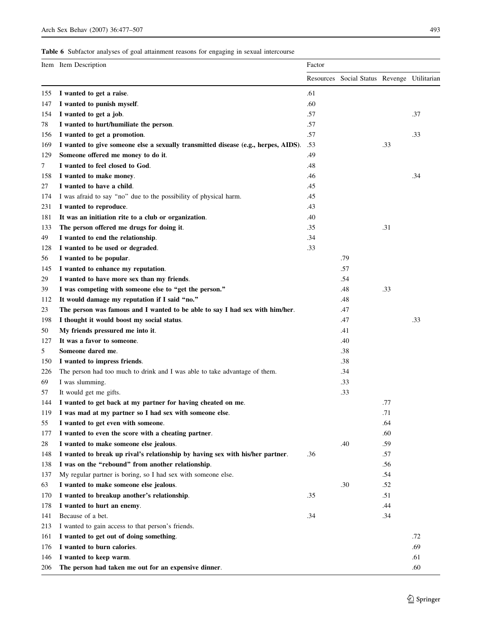|     | Item Item Description                                                              | Factor |                                             |     |     |  |
|-----|------------------------------------------------------------------------------------|--------|---------------------------------------------|-----|-----|--|
|     |                                                                                    |        | Resources Social Status Revenge Utilitarian |     |     |  |
| 155 | I wanted to get a raise.                                                           | .61    |                                             |     |     |  |
| 147 | I wanted to punish myself.                                                         | .60    |                                             |     |     |  |
| 154 | I wanted to get a job.                                                             | .57    |                                             |     | .37 |  |
| 78  | I wanted to hurt/humiliate the person.                                             | .57    |                                             |     |     |  |
| 156 | I wanted to get a promotion.                                                       | .57    |                                             |     | .33 |  |
| 169 | I wanted to give someone else a sexually transmitted disease (e.g., herpes, AIDS). | .53    |                                             | .33 |     |  |
| 129 | Someone offered me money to do it.                                                 | .49    |                                             |     |     |  |
| 7   | I wanted to feel closed to God.                                                    | .48    |                                             |     |     |  |
| 158 | I wanted to make money.                                                            | .46    |                                             |     | .34 |  |
| 27  | I wanted to have a child.                                                          | .45    |                                             |     |     |  |
| 174 | I was afraid to say "no" due to the possibility of physical harm.                  | .45    |                                             |     |     |  |
| 231 | I wanted to reproduce.                                                             | .43    |                                             |     |     |  |
| 181 | It was an initiation rite to a club or organization.                               | .40    |                                             |     |     |  |
| 133 | The person offered me drugs for doing it.                                          | .35    |                                             | .31 |     |  |
| 49  | I wanted to end the relationship.                                                  | .34    |                                             |     |     |  |
| 128 | I wanted to be used or degraded.                                                   | .33    |                                             |     |     |  |
| 56  | I wanted to be popular.                                                            |        | .79                                         |     |     |  |
| 145 | I wanted to enhance my reputation.                                                 |        | .57                                         |     |     |  |
| 29  | I wanted to have more sex than my friends.                                         |        | .54                                         |     |     |  |
| 39  | I was competing with someone else to "get the person."                             |        | .48                                         | .33 |     |  |
| 112 | It would damage my reputation if I said "no."                                      |        | .48                                         |     |     |  |
| 23  | The person was famous and I wanted to be able to say I had sex with him/her.       |        | .47                                         |     |     |  |
| 198 | I thought it would boost my social status.                                         |        | .47                                         |     | .33 |  |
| 50  | My friends pressured me into it.                                                   |        | .41                                         |     |     |  |
| 127 | It was a favor to someone.                                                         |        | .40                                         |     |     |  |
| 5   | Someone dared me.                                                                  |        | .38                                         |     |     |  |
| 150 | I wanted to impress friends.                                                       |        | .38                                         |     |     |  |
| 226 | The person had too much to drink and I was able to take advantage of them.         |        | .34                                         |     |     |  |
| 69  | I was slumming.                                                                    |        | .33                                         |     |     |  |
| 57  | It would get me gifts.                                                             |        | .33                                         |     |     |  |
| 144 | I wanted to get back at my partner for having cheated on me.                       |        |                                             | .77 |     |  |
|     | I was mad at my partner so I had sex with someone else.                            |        |                                             | .71 |     |  |
| 119 |                                                                                    |        |                                             |     |     |  |
| 55  | I wanted to get even with someone.                                                 |        |                                             | .64 |     |  |
| 177 | I wanted to even the score with a cheating partner.                                |        |                                             | .60 |     |  |
| 28  | I wanted to make someone else jealous.                                             |        | .40                                         | .59 |     |  |
| 148 | I wanted to break up rival's relationship by having sex with his/her partner.      | .36    |                                             | .57 |     |  |
| 138 | I was on the "rebound" from another relationship.                                  |        |                                             | .56 |     |  |
| 137 | My regular partner is boring, so I had sex with someone else.                      |        |                                             | .54 |     |  |
| 63  | I wanted to make someone else jealous.                                             |        | .30                                         | .52 |     |  |
| 170 | I wanted to breakup another's relationship.                                        | .35    |                                             | .51 |     |  |
| 178 | I wanted to hurt an enemy.                                                         |        |                                             | .44 |     |  |
| 141 | Because of a bet.                                                                  | .34    |                                             | .34 |     |  |
| 213 | I wanted to gain access to that person's friends.                                  |        |                                             |     |     |  |
| 161 | I wanted to get out of doing something.                                            |        |                                             |     | .72 |  |
| 176 | I wanted to burn calories.                                                         |        |                                             |     | .69 |  |
| 146 | I wanted to keep warm.                                                             |        |                                             |     | .61 |  |
| 206 | The person had taken me out for an expensive dinner.                               |        |                                             |     | .60 |  |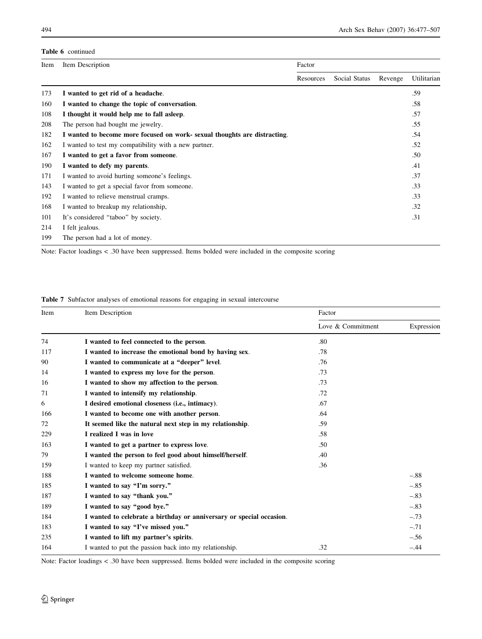| Item | Item Description                                                         | Factor    |               |         |             |  |  |  |
|------|--------------------------------------------------------------------------|-----------|---------------|---------|-------------|--|--|--|
|      |                                                                          | Resources | Social Status | Revenge | Utilitarian |  |  |  |
| 173  | I wanted to get rid of a headache.                                       |           |               |         | .59         |  |  |  |
| 160  | I wanted to change the topic of conversation.                            |           |               |         | .58         |  |  |  |
| 108  | I thought it would help me to fall as leep.                              |           |               |         | .57         |  |  |  |
| 208  | The person had bought me jewelry.                                        |           |               |         | .55         |  |  |  |
| 182  | I wanted to become more focused on work-sexual thoughts are distracting. |           |               |         | .54         |  |  |  |
| 162  | I wanted to test my compatibility with a new partner.                    |           |               |         | .52         |  |  |  |
| 167  | I wanted to get a favor from someone.                                    |           |               |         | .50         |  |  |  |
| 190  | I wanted to defy my parents.                                             |           |               |         | .41         |  |  |  |
| 171  | I wanted to avoid hurting someone's feelings.                            |           |               |         | .37         |  |  |  |
| 143  | I wanted to get a special favor from someone.                            |           |               |         | .33         |  |  |  |
| 192  | I wanted to relieve menstrual cramps.                                    |           |               |         | .33         |  |  |  |
| 168  | I wanted to breakup my relationship,                                     |           |               |         | .32         |  |  |  |
| 101  | It's considered "taboo" by society.                                      |           |               |         | .31         |  |  |  |
| 214  | I felt jealous.                                                          |           |               |         |             |  |  |  |
| 199  | The person had a lot of money.                                           |           |               |         |             |  |  |  |

Note: Factor loadings < .30 have been suppressed. Items bolded were included in the composite scoring

### Table 7 Subfactor analyses of emotional reasons for engaging in sexual intercourse

| Item | Item Description                                                     | Factor            |            |  |  |  |
|------|----------------------------------------------------------------------|-------------------|------------|--|--|--|
|      |                                                                      | Love & Commitment | Expression |  |  |  |
| 74   | I wanted to feel connected to the person.                            | .80               |            |  |  |  |
| 117  | I wanted to increase the emotional bond by having sex.               | .78               |            |  |  |  |
| 90   | I wanted to communicate at a "deeper" level.                         | .76               |            |  |  |  |
| 14   | I wanted to express my love for the person.                          | .73               |            |  |  |  |
| 16   | I wanted to show my affection to the person.                         | .73               |            |  |  |  |
| 71   | I wanted to intensify my relationship.                               | .72               |            |  |  |  |
| 6    | I desired emotional closeness ( <i>i.e.</i> , intimacy).             | .67               |            |  |  |  |
| 166  | I wanted to become one with another person.                          | .64               |            |  |  |  |
| 72   | It seemed like the natural next step in my relationship.             | .59               |            |  |  |  |
| 229  | I realized I was in love                                             | .58               |            |  |  |  |
| 163  | I wanted to get a partner to express love.                           | .50               |            |  |  |  |
| 79   | I wanted the person to feel good about himself/herself.              | .40               |            |  |  |  |
| 159  | I wanted to keep my partner satisfied.                               | .36               |            |  |  |  |
| 188  | I wanted to welcome someone home.                                    |                   | $-.88$     |  |  |  |
| 185  | I wanted to say "I'm sorry."                                         |                   | $-.85$     |  |  |  |
| 187  | I wanted to say "thank you."                                         |                   | $-.83$     |  |  |  |
| 189  | I wanted to say "good bye."                                          |                   | $-.83$     |  |  |  |
| 184  | I wanted to celebrate a birthday or anniversary or special occasion. |                   | $-.73$     |  |  |  |
| 183  | I wanted to say "I've missed you."                                   |                   | $-.71$     |  |  |  |
| 235  | I wanted to lift my partner's spirits.                               |                   | $-.56$     |  |  |  |
| 164  | I wanted to put the passion back into my relationship.               | .32               | $-.44$     |  |  |  |

Note: Factor loadings < .30 have been suppressed. Items bolded were included in the composite scoring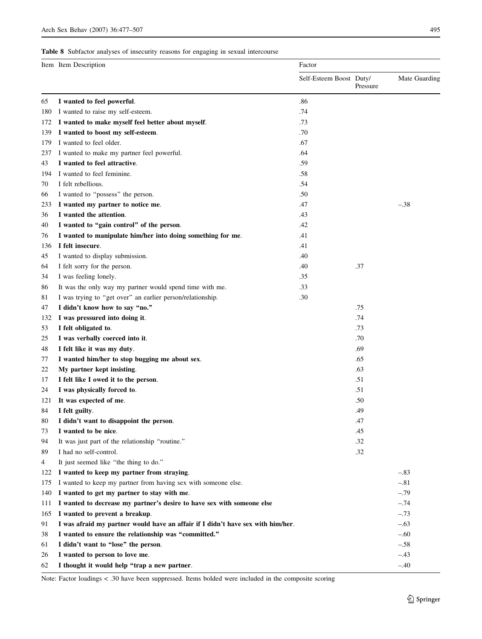## Table 8 Subfactor analyses of insecurity reasons for engaging in sexual intercourse

|     | Item Item Description                                                                                         | Factor                  |          |               |  |  |
|-----|---------------------------------------------------------------------------------------------------------------|-------------------------|----------|---------------|--|--|
|     |                                                                                                               | Self-Esteem Boost Duty/ | Pressure | Mate Guarding |  |  |
| 65  | I wanted to feel powerful.                                                                                    | .86                     |          |               |  |  |
| 180 | I wanted to raise my self-esteem.                                                                             | .74                     |          |               |  |  |
| 172 | I wanted to make myself feel better about myself.                                                             | .73                     |          |               |  |  |
| 139 | I wanted to boost my self-esteem.                                                                             | .70                     |          |               |  |  |
| 179 | I wanted to feel older.                                                                                       | .67                     |          |               |  |  |
| 237 | I wanted to make my partner feel powerful.                                                                    | .64                     |          |               |  |  |
| 43  | I wanted to feel attractive.                                                                                  | .59                     |          |               |  |  |
| 194 | I wanted to feel feminine.                                                                                    | .58                     |          |               |  |  |
| 70  | I felt rebellious.                                                                                            | .54                     |          |               |  |  |
| 66  | I wanted to "possess" the person.                                                                             | .50                     |          |               |  |  |
| 233 | I wanted my partner to notice me.                                                                             | .47                     |          | $-.38$        |  |  |
| 36  | I wanted the attention.                                                                                       | .43                     |          |               |  |  |
| 40  | I wanted to "gain control" of the person.                                                                     | .42                     |          |               |  |  |
| 76  | I wanted to manipulate him/her into doing something for me.                                                   | .41                     |          |               |  |  |
| 136 | I felt insecure.                                                                                              | .41                     |          |               |  |  |
| 45  | I wanted to display submission.                                                                               | .40                     |          |               |  |  |
| 64  | I felt sorry for the person.                                                                                  | .40                     | .37      |               |  |  |
| 34  | I was feeling lonely.                                                                                         | .35                     |          |               |  |  |
| 86  | It was the only way my partner would spend time with me.                                                      | .33                     |          |               |  |  |
| 81  | I was trying to "get over" an earlier person/relationship.                                                    | .30                     |          |               |  |  |
| 47  | I didn't know how to say "no."                                                                                |                         | .75      |               |  |  |
| 132 | I was pressured into doing it.                                                                                |                         | .74      |               |  |  |
| 53  | I felt obligated to.                                                                                          |                         | .73      |               |  |  |
| 25  | I was verbally coerced into it.                                                                               |                         | .70      |               |  |  |
| 48  | I felt like it was my duty.                                                                                   |                         | .69      |               |  |  |
| 77  | I wanted him/her to stop bugging me about sex.                                                                |                         | .65      |               |  |  |
| 22  | My partner kept insisting.                                                                                    |                         | .63      |               |  |  |
| 17  | I felt like I owed it to the person.                                                                          |                         | .51      |               |  |  |
| 24  | I was physically forced to.                                                                                   |                         | .51      |               |  |  |
| 121 | It was expected of me.                                                                                        |                         | .50      |               |  |  |
| 84  | I felt guilty.                                                                                                |                         | .49      |               |  |  |
| 80  | I didn't want to disappoint the person.                                                                       |                         | .47      |               |  |  |
| 73  | I wanted to be nice.                                                                                          |                         | .45      |               |  |  |
| 94  | It was just part of the relationship "routine."                                                               |                         | .32      |               |  |  |
| 89  | I had no self-control.                                                                                        |                         | .32      |               |  |  |
| 4   | It just seemed like "the thing to do."                                                                        |                         |          |               |  |  |
|     |                                                                                                               |                         |          | $-.83$        |  |  |
| 122 | I wanted to keep my partner from straying.                                                                    |                         |          | $-.81$        |  |  |
| 175 | I wanted to keep my partner from having sex with someone else.<br>I wanted to get my partner to stay with me. |                         |          | $-.79$        |  |  |
| 140 |                                                                                                               |                         |          |               |  |  |
| 111 | I wanted to decrease my partner's desire to have sex with someone else                                        |                         |          | $-.74$        |  |  |
| 165 | I wanted to prevent a breakup.                                                                                |                         |          | $-.73$        |  |  |
| 91  | I was afraid my partner would have an affair if I didn't have sex with him/her.                               |                         |          | $-.63$        |  |  |
| 38  | I wanted to ensure the relationship was "committed."                                                          |                         |          | $-.60$        |  |  |
| 61  | I didn't want to "lose" the person.                                                                           |                         |          | $-.58$        |  |  |
| 26  | I wanted to person to love me.                                                                                |                         |          | $-.43$        |  |  |
| 62  | I thought it would help "trap a new partner.                                                                  |                         |          | $-.40$        |  |  |

Note: Factor loadings < .30 have been suppressed. Items bolded were included in the composite scoring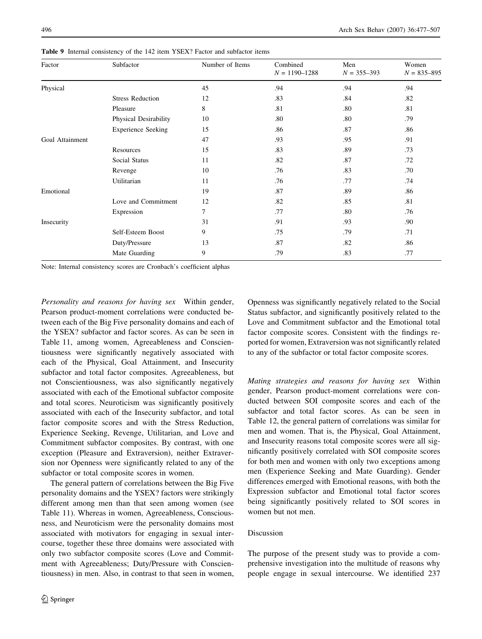| Factor          | Subfactor                 | Number of Items | Combined<br>$N = 1190 - 1288$ | Men<br>$N = 355 - 393$ | Women<br>$N = 835 - 895$ |
|-----------------|---------------------------|-----------------|-------------------------------|------------------------|--------------------------|
| Physical        |                           | 45              | .94                           | .94                    | .94                      |
|                 | <b>Stress Reduction</b>   | 12              | .83                           | .84                    | .82                      |
|                 | Pleasure                  | 8               | .81                           | .80                    | .81                      |
|                 | Physical Desirability     | 10              | .80                           | .80                    | .79                      |
|                 | <b>Experience Seeking</b> | 15              | .86                           | .87                    | .86                      |
| Goal Attainment |                           | 47              | .93                           | .95                    | .91                      |
|                 | Resources                 | 15              | .83                           | .89                    | .73                      |
|                 | Social Status             | 11              | .82                           | .87                    | .72                      |
|                 | Revenge                   | 10              | .76                           | .83                    | .70                      |
|                 | Utilitarian               | 11              | .76                           | .77                    | .74                      |
| Emotional       |                           | 19              | .87                           | .89                    | .86                      |
|                 | Love and Commitment       | 12              | .82                           | .85                    | .81                      |
|                 | Expression                | $7\phantom{.0}$ | .77                           | .80                    | .76                      |
| Insecurity      |                           | 31              | .91                           | .93                    | .90                      |
|                 | Self-Esteem Boost         | 9               | .75                           | .79                    | .71                      |
|                 | Duty/Pressure             | 13              | .87                           | .82                    | .86                      |
|                 | Mate Guarding             | 9               | .79                           | .83                    | .77                      |

Table 9 Internal consistency of the 142 item YSEX? Factor and subfactor items

Note: Internal consistency scores are Cronbach's coefficient alphas

Personality and reasons for having sex Within gender, Pearson product-moment correlations were conducted between each of the Big Five personality domains and each of the YSEX? subfactor and factor scores. As can be seen in Table 11, among women, Agreeableness and Conscientiousness were significantly negatively associated with each of the Physical, Goal Attainment, and Insecurity subfactor and total factor composites. Agreeableness, but not Conscientiousness, was also significantly negatively associated with each of the Emotional subfactor composite and total scores. Neuroticism was significantly positively associated with each of the Insecurity subfactor, and total factor composite scores and with the Stress Reduction, Experience Seeking, Revenge, Utilitarian, and Love and Commitment subfactor composites. By contrast, with one exception (Pleasure and Extraversion), neither Extraversion nor Openness were significantly related to any of the subfactor or total composite scores in women.

The general pattern of correlations between the Big Five personality domains and the YSEX? factors were strikingly different among men than that seen among women (see Table 11). Whereas in women, Agreeableness, Consciousness, and Neuroticism were the personality domains most associated with motivators for engaging in sexual intercourse, together these three domains were associated with only two subfactor composite scores (Love and Commitment with Agreeableness; Duty/Pressure with Conscientiousness) in men. Also, in contrast to that seen in women, Openness was significantly negatively related to the Social Status subfactor, and significantly positively related to the Love and Commitment subfactor and the Emotional total factor composite scores. Consistent with the findings reported for women, Extraversion was not significantly related to any of the subfactor or total factor composite scores.

Mating strategies and reasons for having sex Within gender, Pearson product-moment correlations were conducted between SOI composite scores and each of the subfactor and total factor scores. As can be seen in Table 12, the general pattern of correlations was similar for men and women. That is, the Physical, Goal Attainment, and Insecurity reasons total composite scores were all significantly positively correlated with SOI composite scores for both men and women with only two exceptions among men (Experience Seeking and Mate Guarding). Gender differences emerged with Emotional reasons, with both the Expression subfactor and Emotional total factor scores being significantly positively related to SOI scores in women but not men.

## Discussion

The purpose of the present study was to provide a comprehensive investigation into the multitude of reasons why people engage in sexual intercourse. We identified 237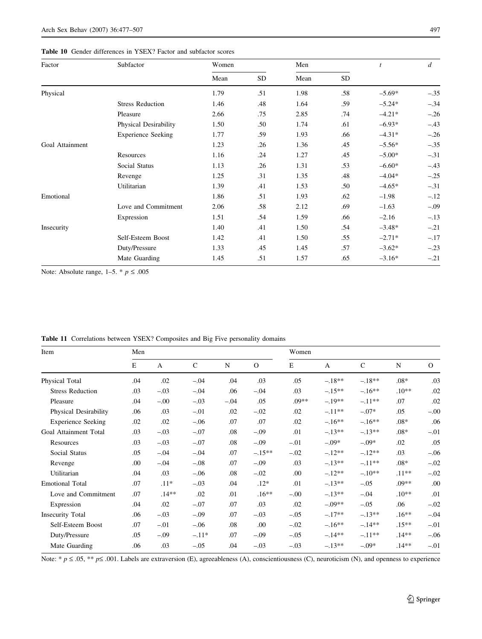| <b>Table 10</b> Gender differences in YSEX? Factor and subfactor scores |  |  |  |  |  |  |  |  |  |
|-------------------------------------------------------------------------|--|--|--|--|--|--|--|--|--|
|-------------------------------------------------------------------------|--|--|--|--|--|--|--|--|--|

| Factor          | Subfactor                 | Women |     | Men  |     | $\boldsymbol{t}$ | d      |  |
|-----------------|---------------------------|-------|-----|------|-----|------------------|--------|--|
|                 |                           | Mean  | SD  | Mean | SD  |                  |        |  |
| Physical        |                           | 1.79  | .51 | 1.98 | .58 | $-5.69*$         | $-.35$ |  |
|                 | <b>Stress Reduction</b>   | 1.46  | .48 | 1.64 | .59 | $-5.24*$         | $-.34$ |  |
|                 | Pleasure                  | 2.66  | .75 | 2.85 | .74 | $-4.21*$         | $-.26$ |  |
|                 | Physical Desirability     | 1.50  | .50 | 1.74 | .61 | $-6.93*$         | $-.43$ |  |
|                 | <b>Experience Seeking</b> | 1.77  | .59 | 1.93 | .66 | $-4.31*$         | $-.26$ |  |
| Goal Attainment |                           | 1.23  | .26 | 1.36 | .45 | $-5.56*$         | $-.35$ |  |
|                 | Resources                 | 1.16  | .24 | 1.27 | .45 | $-5.00*$         | $-.31$ |  |
|                 | Social Status             | 1.13  | .26 | 1.31 | .53 | $-6.60*$         | $-.43$ |  |
|                 | Revenge                   | 1.25  | .31 | 1.35 | .48 | $-4.04*$         | $-.25$ |  |
|                 | Utilitarian               | 1.39  | .41 | 1.53 | .50 | $-4.65*$         | $-.31$ |  |
| Emotional       |                           | 1.86  | .51 | 1.93 | .62 | $-1.98$          | $-.12$ |  |
|                 | Love and Commitment       | 2.06  | .58 | 2.12 | .69 | $-1.63$          | $-.09$ |  |
|                 | Expression                | 1.51  | .54 | 1.59 | .66 | $-2.16$          | $-.13$ |  |
| Insecurity      |                           | 1.40  | .41 | 1.50 | .54 | $-3.48*$         | $-.21$ |  |
|                 | Self-Esteem Boost         | 1.42  | .41 | 1.50 | .55 | $-2.71*$         | $-.17$ |  |
|                 | Duty/Pressure             | 1.33  | .45 | 1.45 | .57 | $-3.62*$         | $-.23$ |  |
|                 | Mate Guarding             | 1.45  | .51 | 1.57 | .65 | $-3.16*$         | $-.21$ |  |

Note: Absolute range,  $1-5. * p \leq .005$ 

| <b>Table 11</b> Correlations between YSEX? Composites and Big Five personality domains |
|----------------------------------------------------------------------------------------|
|----------------------------------------------------------------------------------------|

| Item                         | Men |         |              |        |          | Women   |              |              |         |          |
|------------------------------|-----|---------|--------------|--------|----------|---------|--------------|--------------|---------|----------|
|                              | E   | A       | $\mathsf{C}$ | N      | $\Omega$ | E       | $\mathbf{A}$ | $\mathsf{C}$ | N       | $\Omega$ |
| Physical Total               | .04 | .02     | $-.04$       | .04    | .03      | .05     | $-.18**$     | $-.18**$     | $.08*$  | .03      |
| <b>Stress Reduction</b>      | .03 | $-.03$  | $-.04$       | .06    | $-.04$   | .03     | $-.15**$     | $-.16**$     | $.10**$ | .02      |
| Pleasure                     | .04 | $-0.00$ | $-.03$       | $-.04$ | .05      | $.09**$ | $-.19**$     | $-.11**$     | .07     | .02      |
| <b>Physical Desirability</b> | .06 | .03     | $-.01$       | .02    | $-.02$   | .02     | $-.11**$     | $-07*$       | .05     | $-.00$   |
| <b>Experience Seeking</b>    | .02 | .02     | $-.06$       | .07    | .07      | .02     | $-.16**$     | $-.16**$     | $.08*$  | .06      |
| Goal Attainment Total        | .03 | $-.03$  | $-.07$       | .08    | $-.09$   | .01     | $-.13**$     | $-.13**$     | $.08*$  | $-.01$   |
| Resources                    | .03 | $-.03$  | $-.07$       | .08    | $-.09$   | $-.01$  | $-.09*$      | $-0.09*$     | .02     | .05      |
| Social Status                | .05 | $-.04$  | $-.04$       | .07    | $-.15**$ | $-.02$  | $-.12**$     | $-.12**$     | .03     | $-.06$   |
| Revenge                      | .00 | $-.04$  | $-.08$       | .07    | $-.09$   | .03     | $-.13**$     | $-.11**$     | $.08*$  | $-.02$   |
| Utilitarian                  | .04 | .03     | $-.06$       | .08    | $-.02$   | .00     | $-.12**$     | $-.10**$     | $.11**$ | $-.02$   |
| <b>Emotional Total</b>       | .07 | $.11*$  | $-.03$       | .04    | $.12*$   | .01     | $-.13**$     | $-.05$       | $.09**$ | .00      |
| Love and Commitment          | .07 | $.14**$ | .02          | .01    | $.16**$  | $-.00$  | $-.13**$     | $-.04$       | $.10**$ | .01      |
| Expression                   | .04 | .02     | $-.07$       | .07    | .03      | .02     | $-.09**$     | $-.05$       | .06     | $-.02$   |
| <b>Insecurity Total</b>      | .06 | $-.03$  | $-.09$       | .07    | $-.03$   | $-.05$  | $-.17**$     | $-.13**$     | $.16**$ | $-.04$   |
| Self-Esteem Boost            | .07 | $-.01$  | $-.06$       | .08    | .00      | $-.02$  | $-.16**$     | $-.14**$     | $.15**$ | $-.01$   |
| Duty/Pressure                | .05 | $-.09$  | $-.11*$      | .07    | $-.09$   | $-.05$  | $-.14**$     | $-.11**$     | $.14**$ | $-.06$   |
| Mate Guarding                | .06 | .03     | $-.05$       | .04    | $-.03$   | $-.03$  | $-.13**$     | $-0.09*$     | $.14**$ | $-.01$   |

Note: \*  $p \le 0.05$ , \*\*  $p \le 0.001$ . Labels are extraversion (E), agreeableness (A), conscientiousness (C), neuroticism (N), and openness to experience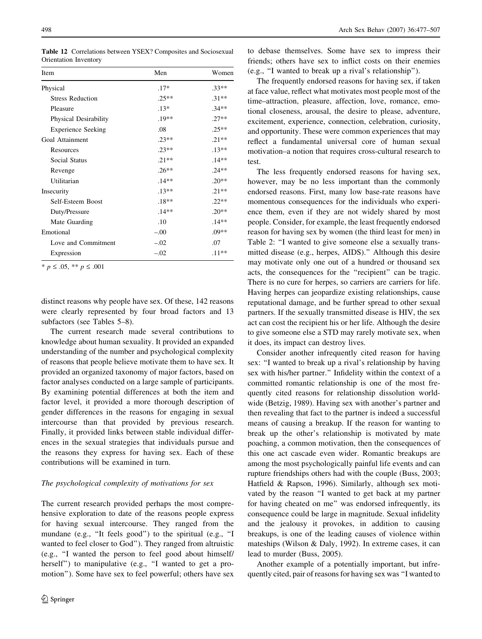| <b>Item</b>               | Men     | Women   |
|---------------------------|---------|---------|
| Physical                  | $.17*$  | $.33**$ |
| <b>Stress Reduction</b>   | $.25**$ | $.31**$ |
| Pleasure                  | $.13*$  | $.34**$ |
| Physical Desirability     | $.19**$ | $.27**$ |
| <b>Experience Seeking</b> | .08     | $.25**$ |
| Goal Attainment           | $.23**$ | $21**$  |
| Resources                 | $.23**$ | $.13**$ |
| Social Status             | $21**$  | $14**$  |
| Revenge                   | $.26**$ | $.24**$ |
| Utilitarian               | $.14**$ | $.20**$ |
| Insecurity                | $.13**$ | $21**$  |
| Self-Esteem Boost         | $.18**$ | $22**$  |
| Duty/Pressure             | $.14**$ | $.20**$ |
| Mate Guarding             | .10     | $.14**$ |
| Emotional                 | $-.00$  | $.09**$ |
| Love and Commitment       | $-.02$  | .07     |
| Expression                | $-.02$  | $.11**$ |

Table 12 Correlations between YSEX? Composites and Sociosexual Orientation Inventory

\*  $p \leq .05$ , \*\*  $p \leq .001$ 

distinct reasons why people have sex. Of these, 142 reasons were clearly represented by four broad factors and 13 subfactors (see Tables 5–8).

The current research made several contributions to knowledge about human sexuality. It provided an expanded understanding of the number and psychological complexity of reasons that people believe motivate them to have sex. It provided an organized taxonomy of major factors, based on factor analyses conducted on a large sample of participants. By examining potential differences at both the item and factor level, it provided a more thorough description of gender differences in the reasons for engaging in sexual intercourse than that provided by previous research. Finally, it provided links between stable individual differences in the sexual strategies that individuals pursue and the reasons they express for having sex. Each of these contributions will be examined in turn.

#### The psychological complexity of motivations for sex

The current research provided perhaps the most comprehensive exploration to date of the reasons people express for having sexual intercourse. They ranged from the mundane (e.g., "It feels good") to the spiritual (e.g., "I wanted to feel closer to God''). They ranged from altruistic (e.g., ''I wanted the person to feel good about himself/ herself") to manipulative (e.g., "I wanted to get a promotion''). Some have sex to feel powerful; others have sex to debase themselves. Some have sex to impress their friends; others have sex to inflict costs on their enemies (e.g., ''I wanted to break up a rival's relationship'').

The frequently endorsed reasons for having sex, if taken at face value, reflect what motivates most people most of the time–attraction, pleasure, affection, love, romance, emotional closeness, arousal, the desire to please, adventure, excitement, experience, connection, celebration, curiosity, and opportunity. These were common experiences that may reflect a fundamental universal core of human sexual motivation–a notion that requires cross-cultural research to test.

The less frequently endorsed reasons for having sex, however, may be no less important than the commonly endorsed reasons. First, many low base-rate reasons have momentous consequences for the individuals who experience them, even if they are not widely shared by most people. Consider, for example, the least frequently endorsed reason for having sex by women (the third least for men) in Table 2: ''I wanted to give someone else a sexually transmitted disease (e.g., herpes, AIDS).'' Although this desire may motivate only one out of a hundred or thousand sex acts, the consequences for the ''recipient'' can be tragic. There is no cure for herpes, so carriers are carriers for life. Having herpes can jeopardize existing relationships, cause reputational damage, and be further spread to other sexual partners. If the sexually transmitted disease is HIV, the sex act can cost the recipient his or her life. Although the desire to give someone else a STD may rarely motivate sex, when it does, its impact can destroy lives.

Consider another infrequently cited reason for having sex: ''I wanted to break up a rival's relationship by having sex with his/her partner.'' Infidelity within the context of a committed romantic relationship is one of the most frequently cited reasons for relationship dissolution worldwide (Betzig, 1989). Having sex with another's partner and then revealing that fact to the partner is indeed a successful means of causing a breakup. If the reason for wanting to break up the other's relationship is motivated by mate poaching, a common motivation, then the consequences of this one act cascade even wider. Romantic breakups are among the most psychologically painful life events and can rupture friendships others had with the couple (Buss, 2003; Hatfield & Rapson, 1996). Similarly, although sex motivated by the reason ''I wanted to get back at my partner for having cheated on me'' was endorsed infrequently, its consequence could be large in magnitude. Sexual infidelity and the jealousy it provokes, in addition to causing breakups, is one of the leading causes of violence within mateships (Wilson & Daly, 1992). In extreme cases, it can lead to murder (Buss, 2005).

Another example of a potentially important, but infrequently cited, pair of reasons for having sex was ''I wanted to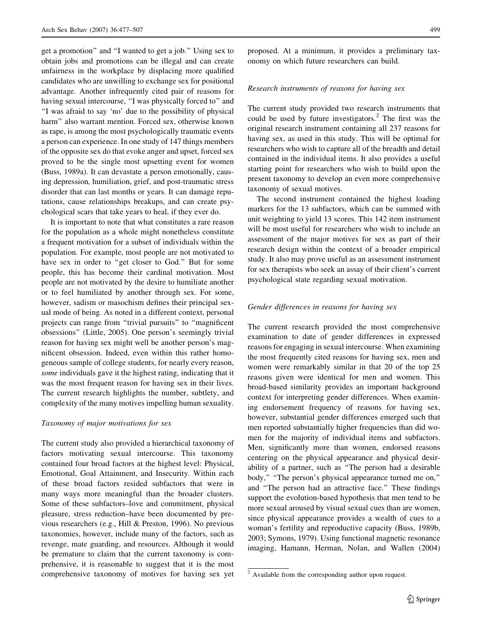get a promotion'' and ''I wanted to get a job.'' Using sex to obtain jobs and promotions can be illegal and can create unfairness in the workplace by displacing more qualified candidates who are unwilling to exchange sex for positional advantage. Another infrequently cited pair of reasons for having sexual intercourse, "I was physically forced to" and ''I was afraid to say 'no' due to the possibility of physical harm" also warrant mention. Forced sex, otherwise known as rape, is among the most psychologically traumatic events a person can experience. In one study of 147 things members of the opposite sex do that evoke anger and upset, forced sex proved to be the single most upsetting event for women (Buss, 1989a). It can devastate a person emotionally, causing depression, humiliation, grief, and post-traumatic stress disorder that can last months or years. It can damage reputations, cause relationships breakups, and can create psychological scars that take years to heal, if they ever do.

It is important to note that what constitutes a rare reason for the population as a whole might nonetheless constitute a frequent motivation for a subset of individuals within the population. For example, most people are not motivated to have sex in order to "get closer to God." But for some people, this has become their cardinal motivation. Most people are not motivated by the desire to humiliate another or to feel humiliated by another through sex. For some, however, sadism or masochism defines their principal sexual mode of being. As noted in a different context, personal projects can range from ''trivial pursuits'' to ''magnificent obsessions'' (Little, 2005). One person's seemingly trivial reason for having sex might well be another person's magnificent obsession. Indeed, even within this rather homogeneous sample of college students, for nearly every reason, some individuals gave it the highest rating, indicating that it was the most frequent reason for having sex in their lives. The current research highlights the number, subtlety, and complexity of the many motives impelling human sexuality.

#### Taxonomy of major motivations for sex

The current study also provided a hierarchical taxonomy of factors motivating sexual intercourse. This taxonomy contained four broad factors at the highest level: Physical, Emotional, Goal Attainment, and Insecurity. Within each of these broad factors resided subfactors that were in many ways more meaningful than the broader clusters. Some of these subfactors–love and commitment, physical pleasure, stress reduction–have been documented by previous researchers (e.g., Hill & Preston, 1996). No previous taxonomies, however, include many of the factors, such as revenge, mate guarding, and resources. Although it would be premature to claim that the current taxonomy is comprehensive, it is reasonable to suggest that it is the most comprehensive taxonomy of motives for having sex yet proposed. At a minimum, it provides a preliminary taxonomy on which future researchers can build.

#### Research instruments of reasons for having sex

The current study provided two research instruments that could be used by future investigators.<sup>2</sup> The first was the original research instrument containing all 237 reasons for having sex, as used in this study. This will be optimal for researchers who wish to capture all of the breadth and detail contained in the individual items. It also provides a useful starting point for researchers who wish to build upon the present taxonomy to develop an even more comprehensive taxonomy of sexual motives.

The second instrument contained the highest loading markers for the 13 subfactors, which can be summed with unit weighting to yield 13 scores. This 142 item instrument will be most useful for researchers who wish to include an assessment of the major motives for sex as part of their research design within the context of a broader empirical study. It also may prove useful as an assessment instrument for sex therapists who seek an assay of their client's current psychological state regarding sexual motivation.

#### Gender differences in reasons for having sex

The current research provided the most comprehensive examination to date of gender differences in expressed reasons for engaging in sexual intercourse. When examining the most frequently cited reasons for having sex, men and women were remarkably similar in that 20 of the top 25 reasons given were identical for men and women. This broad-based similarity provides an important background context for interpreting gender differences. When examining endorsement frequency of reasons for having sex, however, substantial gender differences emerged such that men reported substantially higher frequencies than did women for the majority of individual items and subfactors. Men, significantly more than women, endorsed reasons centering on the physical appearance and physical desirability of a partner, such as ''The person had a desirable body," "The person's physical appearance turned me on," and ''The person had an attractive face.'' These findings support the evolution-based hypothesis that men tend to be more sexual aroused by visual sexual cues than are women, since physical appearance provides a wealth of cues to a woman's fertility and reproductive capacity (Buss, 1989b, 2003; Symons, 1979). Using functional magnetic resonance imaging, Hamann, Herman, Nolan, and Wallen (2004)

<sup>2</sup> Available from the corresponding author upon request.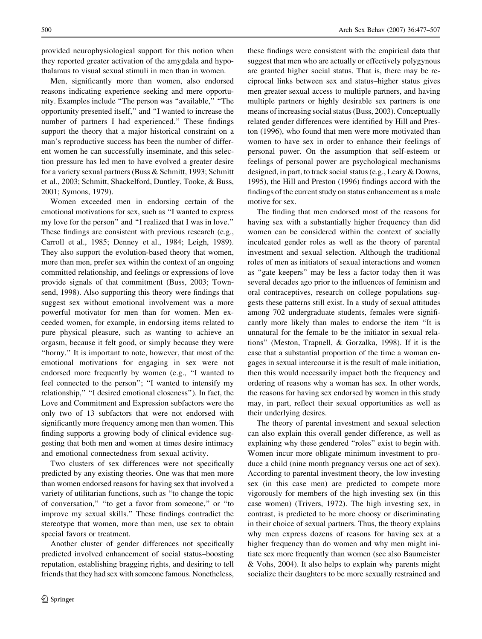provided neurophysiological support for this notion when they reported greater activation of the amygdala and hypothalamus to visual sexual stimuli in men than in women.

Men, significantly more than women, also endorsed reasons indicating experience seeking and mere opportunity. Examples include ''The person was ''available,'' ''The opportunity presented itself,'' and ''I wanted to increase the number of partners I had experienced.'' These findings support the theory that a major historical constraint on a man's reproductive success has been the number of different women he can successfully inseminate, and this selection pressure has led men to have evolved a greater desire for a variety sexual partners (Buss & Schmitt, 1993; Schmitt et al., 2003; Schmitt, Shackelford, Duntley, Tooke, & Buss, 2001; Symons, 1979).

Women exceeded men in endorsing certain of the emotional motivations for sex, such as ''I wanted to express my love for the person'' and ''I realized that I was in love.'' These findings are consistent with previous research (e.g., Carroll et al., 1985; Denney et al., 1984; Leigh, 1989). They also support the evolution-based theory that women, more than men, prefer sex within the context of an ongoing committed relationship, and feelings or expressions of love provide signals of that commitment (Buss, 2003; Townsend, 1998). Also supporting this theory were findings that suggest sex without emotional involvement was a more powerful motivator for men than for women. Men exceeded women, for example, in endorsing items related to pure physical pleasure, such as wanting to achieve an orgasm, because it felt good, or simply because they were "horny." It is important to note, however, that most of the emotional motivations for engaging in sex were not endorsed more frequently by women (e.g., ''I wanted to feel connected to the person"; "I wanted to intensify my relationship,'' ''I desired emotional closeness''). In fact, the Love and Commitment and Expression subfactors were the only two of 13 subfactors that were not endorsed with significantly more frequency among men than women. This finding supports a growing body of clinical evidence suggesting that both men and women at times desire intimacy and emotional connectedness from sexual activity.

Two clusters of sex differences were not specifically predicted by any existing theories. One was that men more than women endorsed reasons for having sex that involved a variety of utilitarian functions, such as ''to change the topic of conversation,'' ''to get a favor from someone,'' or ''to improve my sexual skills.'' These findings contradict the stereotype that women, more than men, use sex to obtain special favors or treatment.

Another cluster of gender differences not specifically predicted involved enhancement of social status–boosting reputation, establishing bragging rights, and desiring to tell friends that they had sex with someone famous. Nonetheless,

these findings were consistent with the empirical data that suggest that men who are actually or effectively polygynous are granted higher social status. That is, there may be reciprocal links between sex and status–higher status gives men greater sexual access to multiple partners, and having multiple partners or highly desirable sex partners is one means of increasing social status (Buss, 2003). Conceptually related gender differences were identified by Hill and Preston (1996), who found that men were more motivated than women to have sex in order to enhance their feelings of personal power. On the assumption that self-esteem or feelings of personal power are psychological mechanisms designed, in part, to track social status (e.g., Leary & Downs, 1995), the Hill and Preston (1996) findings accord with the findings of the current study on status enhancement as a male motive for sex.

The finding that men endorsed most of the reasons for having sex with a substantially higher frequency than did women can be considered within the context of socially inculcated gender roles as well as the theory of parental investment and sexual selection. Although the traditional roles of men as initiators of sexual interactions and women as ''gate keepers'' may be less a factor today then it was several decades ago prior to the influences of feminism and oral contraceptives, research on college populations suggests these patterns still exist. In a study of sexual attitudes among 702 undergraduate students, females were significantly more likely than males to endorse the item ''It is unnatural for the female to be the initiator in sexual relations'' (Meston, Trapnell, & Gorzalka, 1998). If it is the case that a substantial proportion of the time a woman engages in sexual intercourse it is the result of male initiation, then this would necessarily impact both the frequency and ordering of reasons why a woman has sex. In other words, the reasons for having sex endorsed by women in this study may, in part, reflect their sexual opportunities as well as their underlying desires.

The theory of parental investment and sexual selection can also explain this overall gender difference, as well as explaining why these gendered ''roles'' exist to begin with. Women incur more obligate minimum investment to produce a child (nine month pregnancy versus one act of sex). According to parental investment theory, the low investing sex (in this case men) are predicted to compete more vigorously for members of the high investing sex (in this case women) (Trivers, 1972). The high investing sex, in contrast, is predicted to be more choosy or discriminating in their choice of sexual partners. Thus, the theory explains why men express dozens of reasons for having sex at a higher frequency than do women and why men might initiate sex more frequently than women (see also Baumeister & Vohs, 2004). It also helps to explain why parents might socialize their daughters to be more sexually restrained and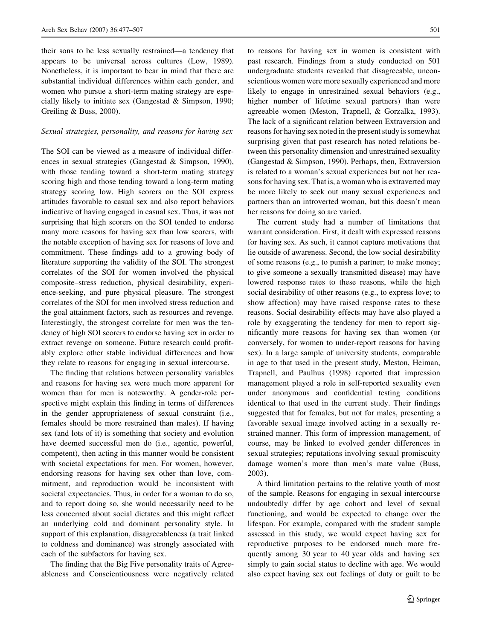their sons to be less sexually restrained—a tendency that appears to be universal across cultures (Low, 1989). Nonetheless, it is important to bear in mind that there are substantial individual differences within each gender, and women who pursue a short-term mating strategy are especially likely to initiate sex (Gangestad & Simpson, 1990; Greiling & Buss, 2000).

#### Sexual strategies, personality, and reasons for having sex

The SOI can be viewed as a measure of individual differences in sexual strategies (Gangestad & Simpson, 1990), with those tending toward a short-term mating strategy scoring high and those tending toward a long-term mating strategy scoring low. High scorers on the SOI express attitudes favorable to casual sex and also report behaviors indicative of having engaged in casual sex. Thus, it was not surprising that high scorers on the SOI tended to endorse many more reasons for having sex than low scorers, with the notable exception of having sex for reasons of love and commitment. These findings add to a growing body of literature supporting the validity of the SOI. The strongest correlates of the SOI for women involved the physical composite–stress reduction, physical desirability, experience-seeking, and pure physical pleasure. The strongest correlates of the SOI for men involved stress reduction and the goal attainment factors, such as resources and revenge. Interestingly, the strongest correlate for men was the tendency of high SOI scorers to endorse having sex in order to extract revenge on someone. Future research could profitably explore other stable individual differences and how they relate to reasons for engaging in sexual intercourse.

The finding that relations between personality variables and reasons for having sex were much more apparent for women than for men is noteworthy. A gender-role perspective might explain this finding in terms of differences in the gender appropriateness of sexual constraint (i.e., females should be more restrained than males). If having sex (and lots of it) is something that society and evolution have deemed successful men do (i.e., agentic, powerful, competent), then acting in this manner would be consistent with societal expectations for men. For women, however, endorsing reasons for having sex other than love, commitment, and reproduction would be inconsistent with societal expectancies. Thus, in order for a woman to do so, and to report doing so, she would necessarily need to be less concerned about social dictates and this might reflect an underlying cold and dominant personality style. In support of this explanation, disagreeableness (a trait linked to coldness and dominance) was strongly associated with each of the subfactors for having sex.

The finding that the Big Five personality traits of Agreeableness and Conscientiousness were negatively related to reasons for having sex in women is consistent with past research. Findings from a study conducted on 501 undergraduate students revealed that disagreeable, unconscientious women were more sexually experienced and more likely to engage in unrestrained sexual behaviors (e.g., higher number of lifetime sexual partners) than were agreeable women (Meston, Trapnell, & Gorzalka, 1993). The lack of a significant relation between Extraversion and reasons for having sex noted in the present study is somewhat surprising given that past research has noted relations between this personality dimension and unrestrained sexuality (Gangestad & Simpson, 1990). Perhaps, then, Extraversion is related to a woman's sexual experiences but not her reasons for having sex. That is, a woman who is extraverted may be more likely to seek out many sexual experiences and partners than an introverted woman, but this doesn't mean her reasons for doing so are varied.

The current study had a number of limitations that warrant consideration. First, it dealt with expressed reasons for having sex. As such, it cannot capture motivations that lie outside of awareness. Second, the low social desirability of some reasons (e.g., to punish a partner; to make money; to give someone a sexually transmitted disease) may have lowered response rates to these reasons, while the high social desirability of other reasons (e.g., to express love; to show affection) may have raised response rates to these reasons. Social desirability effects may have also played a role by exaggerating the tendency for men to report significantly more reasons for having sex than women (or conversely, for women to under-report reasons for having sex). In a large sample of university students, comparable in age to that used in the present study, Meston, Heiman, Trapnell, and Paulhus (1998) reported that impression management played a role in self-reported sexuality even under anonymous and confidential testing conditions identical to that used in the current study. Their findings suggested that for females, but not for males, presenting a favorable sexual image involved acting in a sexually restrained manner. This form of impression management, of course, may be linked to evolved gender differences in sexual strategies; reputations involving sexual promiscuity damage women's more than men's mate value (Buss, 2003).

A third limitation pertains to the relative youth of most of the sample. Reasons for engaging in sexual intercourse undoubtedly differ by age cohort and level of sexual functioning, and would be expected to change over the lifespan. For example, compared with the student sample assessed in this study, we would expect having sex for reproductive purposes to be endorsed much more frequently among 30 year to 40 year olds and having sex simply to gain social status to decline with age. We would also expect having sex out feelings of duty or guilt to be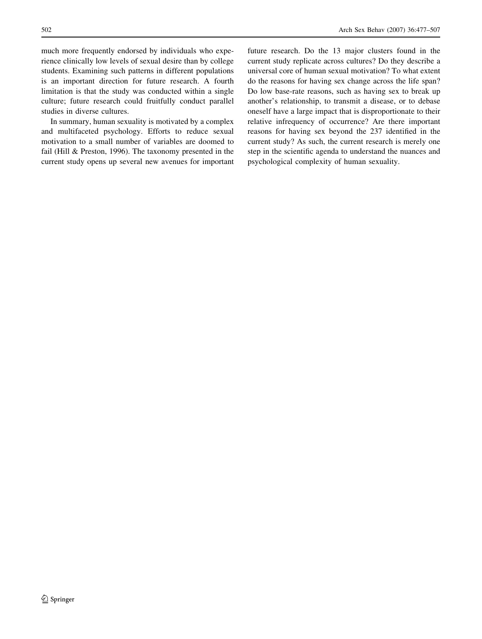much more frequently endorsed by individuals who experience clinically low levels of sexual desire than by college students. Examining such patterns in different populations is an important direction for future research. A fourth limitation is that the study was conducted within a single culture; future research could fruitfully conduct parallel studies in diverse cultures.

In summary, human sexuality is motivated by a complex and multifaceted psychology. Efforts to reduce sexual motivation to a small number of variables are doomed to fail (Hill & Preston, 1996). The taxonomy presented in the current study opens up several new avenues for important future research. Do the 13 major clusters found in the current study replicate across cultures? Do they describe a universal core of human sexual motivation? To what extent do the reasons for having sex change across the life span? Do low base-rate reasons, such as having sex to break up another's relationship, to transmit a disease, or to debase oneself have a large impact that is disproportionate to their relative infrequency of occurrence? Are there important reasons for having sex beyond the 237 identified in the current study? As such, the current research is merely one step in the scientific agenda to understand the nuances and psychological complexity of human sexuality.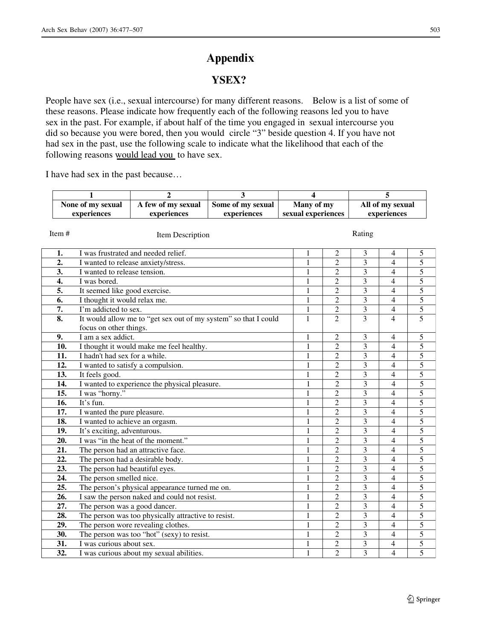# Appendix

# **YSEX?**

People have sex (i.e., sexual intercourse) for many different reasons. Below is a list of some of these reasons. Please indicate how frequently each of the following reasons led you to have sex in the past. For example, if about half of the time you engaged in sexual intercourse you did so because you were bored, then you would circle "3" beside question 4. If you have not had sex in the past, use the following scale to indicate what the likelihood that each of the following reasons would lead you to have sex.

I have had sex in the past because…

| None of my sexual | A few of my sexual | Some of my sexual | Many of my         | All of my sexual |
|-------------------|--------------------|-------------------|--------------------|------------------|
| experiences       | experiences        | experiences       | sexual experiences | experiences      |

Item # Item Description Rating

| 1.  | I was frustrated and needed relief.                             | 1            | $\overline{c}$ | 3                       | 4              | 5              |
|-----|-----------------------------------------------------------------|--------------|----------------|-------------------------|----------------|----------------|
| 2.  | I wanted to release anxiety/stress.                             | $\mathbf{1}$ | $\overline{c}$ | $\overline{3}$          | 4              | 5              |
| 3.  | I wanted to release tension.                                    | 1            | 2              | $\overline{\mathbf{3}}$ | 4              | $\overline{5}$ |
| 4.  | I was bored.                                                    | $\mathbf{1}$ | $\overline{c}$ | $\overline{3}$          | 4              | $\overline{5}$ |
| 5.  | It seemed like good exercise.                                   | 1            | $\overline{c}$ | 3                       | 4              | 5              |
| 6.  | I thought it would relax me.                                    | 1            | $\overline{c}$ | $\overline{3}$          | 4              | $\overline{5}$ |
| 7.  | I'm addicted to sex.                                            | 1            | $\overline{c}$ | $\overline{3}$          | 4              | $\overline{5}$ |
| 8.  | It would allow me to "get sex out of my system" so that I could | $\mathbf{1}$ | $\overline{c}$ | $\overline{3}$          | $\overline{4}$ | $\overline{5}$ |
|     | focus on other things.                                          |              |                |                         |                |                |
| 9.  | I am a sex addict.                                              | $\mathbf{1}$ | 2              | $\mathfrak{Z}$          | 4              | 5              |
| 10. | I thought it would make me feel healthy.                        | $\mathbf{1}$ | $\overline{c}$ | $\overline{3}$          | $\overline{4}$ | $\overline{5}$ |
| 11. | I hadn't had sex for a while.                                   | $\mathbf{1}$ | $\overline{c}$ | $\overline{3}$          | 4              | $\overline{5}$ |
| 12. | I wanted to satisfy a compulsion.                               | $\mathbf{1}$ | $\overline{c}$ | 3                       | 4              | $\overline{5}$ |
| 13. | It feels good.                                                  | $\mathbf{1}$ | $\overline{2}$ | $\overline{3}$          | 4              | $\overline{5}$ |
| 14. | I wanted to experience the physical pleasure.                   | $\mathbf{1}$ | $\overline{2}$ | $\overline{3}$          | 4              | $\overline{5}$ |
| 15. | I was "horny."                                                  | 1            | 2              | $\overline{3}$          | 4              | $\overline{5}$ |
| 16. | It's fun.                                                       | $\mathbf{1}$ | $\overline{c}$ | 3                       | 4              | $\overline{5}$ |
| 17. | I wanted the pure pleasure.                                     | $\mathbf{1}$ | $\overline{c}$ | $\overline{3}$          | 4              | $\overline{5}$ |
| 18. | I wanted to achieve an orgasm.                                  | $\mathbf{1}$ | 2              | $\overline{3}$          | 4              | $\overline{5}$ |
| 19. | It's exciting, adventurous.                                     | $\mathbf{1}$ | $\overline{c}$ | $\overline{3}$          | 4              | $\overline{5}$ |
| 20. | I was "in the heat of the moment."                              | $\mathbf{1}$ | $\overline{c}$ | 3                       | 4              | 5              |
| 21. | The person had an attractive face.                              | $\mathbf{1}$ | $\overline{c}$ | 3                       | 4              | $\overline{5}$ |
| 22. | The person had a desirable body.                                | $\mathbf{1}$ | $\overline{c}$ | 3                       | 4              | $\overline{5}$ |
| 23. | The person had beautiful eyes.                                  | $\mathbf{1}$ | $\overline{c}$ | 3                       | 4              | $\overline{5}$ |
| 24. | The person smelled nice.                                        | $\mathbf{1}$ | $\overline{c}$ | 3                       | 4              | 5              |
| 25. | The person's physical appearance turned me on.                  | $\mathbf{1}$ | $\overline{c}$ | $\overline{3}$          | 4              | $\overline{5}$ |
| 26. | I saw the person naked and could not resist.                    | $\mathbf 1$  | $\overline{c}$ | $\overline{3}$          | 4              | 5              |
| 27. | The person was a good dancer.                                   | $\mathbf{1}$ | $\overline{c}$ | $\overline{3}$          | 4              | $\overline{5}$ |
| 28. | The person was too physically attractive to resist.             | $\mathbf{1}$ | $\overline{c}$ | 3                       | 4              | 5              |
| 29. | The person wore revealing clothes.                              | $\mathbf{1}$ | $\overline{c}$ | $\overline{3}$          | 4              | $\overline{5}$ |
| 30. | The person was too "hot" (sexy) to resist.                      | 1            | 2              | $\overline{3}$          | 4              | $\overline{5}$ |
| 31. | I was curious about sex.                                        | 1            | 2              | 3                       | 4              | $\overline{5}$ |
| 32. | I was curious about my sexual abilities.                        | 1            | $\overline{c}$ | $\overline{3}$          | 4              | 5              |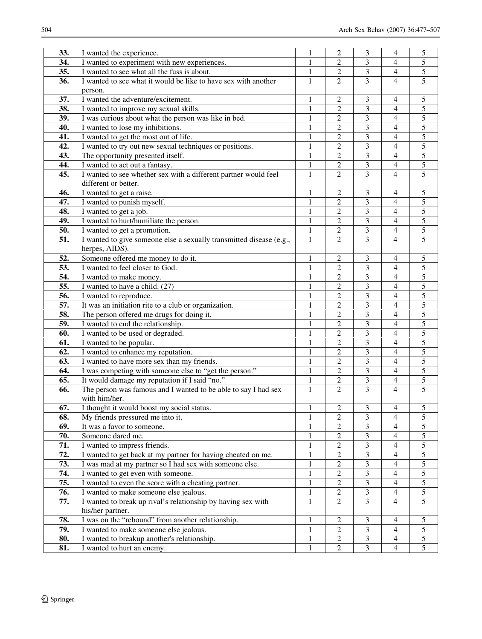| 33.               | I wanted the experience.                                            | $\mathbf{1}$      | 2                   | 3                       | 4                        | 5              |
|-------------------|---------------------------------------------------------------------|-------------------|---------------------|-------------------------|--------------------------|----------------|
| 34.               | I wanted to experiment with new experiences.                        | $\mathbf{1}$      | $\overline{2}$      | $\overline{3}$          | $\overline{4}$           | $\overline{5}$ |
| 35.               | I wanted to see what all the fuss is about.                         | $\mathbf{1}$      | $\overline{c}$      | 3                       | $\overline{4}$           | 5              |
| 36.               | I wanted to see what it would be like to have sex with another      | $\mathbf{1}$      | $\overline{2}$      | 3                       | $\overline{\mathcal{L}}$ | 5              |
|                   | person.                                                             |                   |                     |                         |                          |                |
| 37.               | I wanted the adventure/excitement.                                  | $\mathbf{1}$      | $\overline{c}$      | 3                       | 4                        | 5              |
| 38.               | I wanted to improve my sexual skills.                               | 1                 | $\sqrt{2}$          | 3                       | $\overline{4}$           | 5              |
| 39.               | I was curious about what the person was like in bed.                | $\mathbf{1}$      | $\overline{c}$      | 3                       | 4                        | 5              |
| 40.               | I wanted to lose my inhibitions.                                    | 1                 | 2                   | 3                       | 4                        | $\overline{5}$ |
| 41.               | I wanted to get the most out of life.                               | 1                 | 2                   | $\overline{3}$          | 4                        | $\overline{5}$ |
| 42.               | I wanted to try out new sexual techniques or positions.             | 1                 | $\sqrt{2}$          | 3                       | 4                        | 5              |
| 43.               | The opportunity presented itself.                                   | $\mathbf{1}$      | $\overline{c}$      | $\overline{3}$          | $\overline{4}$           | $\overline{5}$ |
| 44.               | I wanted to act out a fantasy.                                      | $\mathbf{1}$      | $\overline{c}$      | 3                       | $\overline{4}$           | $\overline{5}$ |
| 45.               | I wanted to see whether sex with a different partner would feel     | $\mathbf{1}$      | $\overline{c}$      | 3                       | $\overline{4}$           | $\overline{5}$ |
|                   | different or better.                                                |                   |                     |                         |                          |                |
| 46.               | I wanted to get a raise.                                            | $\mathbf{1}$      | $\overline{2}$      | 3                       | $\overline{4}$           | 5              |
| 47.               | I wanted to punish myself.                                          | $\mathbf{1}$      | $\overline{c}$      | 3                       | 4                        | 5              |
| 48.               | I wanted to get a job.                                              | 1                 | $\overline{2}$      | 3                       | 4                        | 5              |
| 49.               | I wanted to hurt/humiliate the person.                              | 1                 | $\overline{c}$      | 3                       | 4                        | 5              |
| 50.               | I wanted to get a promotion.                                        | $\mathbf{1}$      | $\overline{c}$      | 3                       | $\overline{4}$           | 5              |
| 51.               | I wanted to give someone else a sexually transmitted disease (e.g., | $\mathbf{1}$      | $\overline{2}$      | 3                       | $\overline{4}$           | 5              |
|                   | herpes, AIDS).                                                      |                   |                     |                         |                          |                |
| 52.               | Someone offered me money to do it.                                  | $\mathbf{1}$      | $\overline{2}$      | 3                       | $\overline{4}$           | 5              |
| 53.               | I wanted to feel closer to God.                                     | 1                 | $\overline{2}$      | 3                       | 4                        | $\overline{5}$ |
| $\overline{54}$ . | I wanted to make money.                                             | $\mathbf{1}$      | $\overline{2}$      | $\overline{3}$          | $\overline{4}$           | $\overline{5}$ |
| 55.               | I wanted to have a child. (27)                                      | $\mathbf{1}$      | 2                   | 3                       | $\overline{4}$           | $\overline{5}$ |
| 56.               | I wanted to reproduce.                                              | $\mathbf{1}$      | $\overline{c}$      | $\overline{3}$          | $\overline{4}$           | $\overline{5}$ |
| 57.               | It was an initiation rite to a club or organization.                | $\mathbf{1}$      | $\overline{c}$      | $\overline{\mathbf{3}}$ | $\overline{4}$           | $\overline{5}$ |
| 58.               | The person offered me drugs for doing it.                           | $\mathbf{1}$      | $\overline{2}$      | 3                       | $\overline{4}$           | $\overline{5}$ |
| 59.               | I wanted to end the relationship.                                   | $\mathbf{1}$      | $\overline{c}$      | 3                       | $\overline{4}$           | $\overline{5}$ |
| 60.               | I wanted to be used or degraded.                                    | $\mathbf{1}$      | $\mathbf{2}$        | 3                       | $\overline{\mathcal{L}}$ | $\overline{5}$ |
| 61.               | I wanted to be popular.                                             | $\mathbf{1}$      | $\overline{c}$      | 3                       | 4                        | $\overline{5}$ |
| 62.               | I wanted to enhance my reputation.                                  | $\mathbf{1}$      | $\overline{c}$      | 3                       | $\overline{4}$           | $\overline{5}$ |
| 63.               | I wanted to have more sex than my friends.                          | $\mathbf{1}$      | 2                   | 3                       | $\overline{4}$           | 5              |
| 64.               | I was competing with someone else to "get the person."              | $\mathbf{1}$      | $\overline{2}$      | 3                       | $\overline{4}$           | 5              |
| 65.               | It would damage my reputation if I said "no."                       | $\mathbf{1}$      | $\overline{2}$      | 3                       | $\overline{4}$           | 5              |
| 66.               | The person was famous and I wanted to be able to say I had sex      | $\mathbf{1}$      | $\mathfrak{2}$      | 3                       | 4                        | $\overline{5}$ |
|                   | with him/her.                                                       |                   |                     |                         |                          |                |
| 67.<br>68.        | I thought it would boost my social status.                          | 1<br>$\mathbf{1}$ | 2<br>$\overline{c}$ | 3<br>3                  | 4<br>4                   | 5<br>5         |
| 69.               | My friends pressured me into it.<br>It was a favor to someone.      | 1                 | $\boldsymbol{2}$    | 3                       | 4                        | 5              |
| 70.               | Someone dared me.                                                   | 1                 | $\sqrt{2}$          | 3                       | 4                        | $\overline{5}$ |
| 71.               | I wanted to impress friends.                                        | $\mathbf{1}$      | $\sqrt{2}$          | 3                       | 4                        | $\overline{5}$ |
| 72.               | I wanted to get back at my partner for having cheated on me.        | $\mathbf{1}$      | $\sqrt{2}$          | 3                       | $\overline{4}$           | $\overline{5}$ |
| 73.               | I was mad at my partner so I had sex with someone else.             | $\mathbf{1}$      | $\sqrt{2}$          | 3                       | $\overline{4}$           | $\overline{5}$ |
| 74.               | I wanted to get even with someone.                                  | $\mathbf{1}$      | $\sqrt{2}$          | 3                       | $\overline{4}$           | 5              |
| 75.               | I wanted to even the score with a cheating partner.                 | 1                 | $\overline{c}$      | 3                       | $\overline{4}$           | 5              |
| 76.               | I wanted to make someone else jealous.                              | 1                 | $\boldsymbol{2}$    | 3                       | $\overline{4}$           | 5              |
| 77.               | I wanted to break up rival's relationship by having sex with        | $\mathbf{1}$      | $\overline{2}$      | 3                       | $\overline{4}$           | 5              |
|                   | his/her partner.                                                    |                   |                     |                         |                          |                |
| 78.               | I was on the "rebound" from another relationship.                   | 1                 | 2                   | 3                       | 4                        | 5              |
| 79.               | I wanted to make someone else jealous.                              | 1                 | 2                   | 3                       | 4                        | 5              |
| 80.               | I wanted to breakup another's relationship.                         | 1                 | $\boldsymbol{2}$    | 3                       | 4                        | $\overline{5}$ |
| 81.               | I wanted to hurt an enemy.                                          | 1                 | $\sqrt{2}$          | $\overline{3}$          | 4                        | 5              |
|                   |                                                                     |                   |                     |                         |                          |                |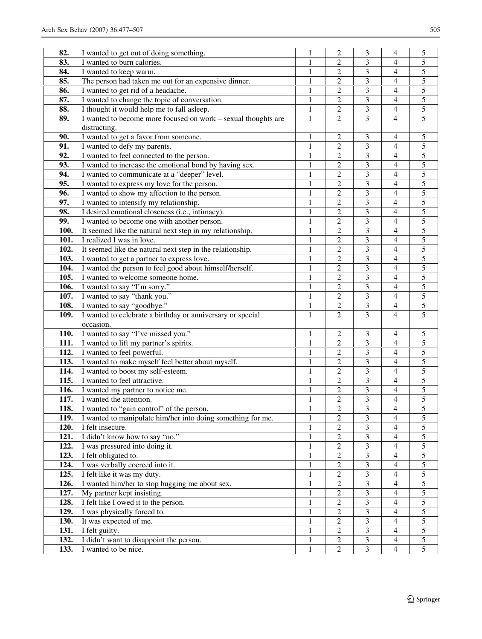| 82.               | I wanted to get out of doing something.                                 | $\mathbf{1}$      | $\mathbf{2}$                 | 3                       | 4                                | 5              |
|-------------------|-------------------------------------------------------------------------|-------------------|------------------------------|-------------------------|----------------------------------|----------------|
| 83.               | I wanted to burn calories.                                              | $\mathbf{1}$      | $\overline{c}$               | 3                       | $\overline{4}$                   | 5              |
| 84.               | I wanted to keep warm.                                                  | 1                 | 2                            | 3                       | 4                                | 5              |
| 85.               | The person had taken me out for an expensive dinner.                    | 1                 | $\overline{c}$               | 3                       | $\overline{4}$                   | $\mathfrak s$  |
| 86.               | I wanted to get rid of a headache.                                      | 1                 | 2                            | 3                       | 4                                | $\overline{5}$ |
| 87.               | I wanted to change the topic of conversation.                           | 1                 | 2                            | 3                       | 4                                | $\overline{5}$ |
| 88.               | I thought it would help me to fall asleep.                              | 1                 | 2                            | 3                       | 4                                | $\overline{5}$ |
| 89.               | I wanted to become more focused on work - sexual thoughts are           | $\mathbf{1}$      | $\mathfrak{2}$               | $\overline{3}$          | 4                                | $\overline{5}$ |
|                   | distracting.                                                            |                   |                              |                         |                                  |                |
| 90.               | I wanted to get a favor from someone.                                   | $\mathbf{1}$      | $\sqrt{2}$                   | 3                       | 4                                | $\mathfrak s$  |
| 91.               | I wanted to defy my parents.                                            | $\mathbf{1}$      | $\overline{2}$               | 3                       | $\overline{4}$                   | $\overline{5}$ |
| 92.               | I wanted to feel connected to the person.                               | $\mathbf{1}$      | $\overline{c}$               | 3                       | $\overline{4}$                   | $\overline{5}$ |
| $\overline{93}$ . | I wanted to increase the emotional bond by having sex.                  | $\mathbf{1}$      | $\overline{2}$               | 3                       | 4                                | $\overline{5}$ |
| 94.               | I wanted to communicate at a "deeper" level.                            | $\mathbf{1}$      | $\overline{c}$               | 3                       | $\overline{4}$                   | 5              |
| 95.               | I wanted to express my love for the person.                             | $\mathbf{1}$      | $\overline{2}$               | 3                       | $\overline{4}$                   | $\overline{5}$ |
| 96.               | I wanted to show my affection to the person.                            | $\mathbf{1}$      | $\overline{c}$               | 3                       | $\overline{4}$                   | 5              |
| 97.               | I wanted to intensify my relationship.                                  | $\mathbf{1}$      | $\overline{2}$               | 3                       | $\overline{4}$                   | $\overline{5}$ |
| 98.               | I desired emotional closeness (i.e., intimacy).                         | $\mathbf{1}$      | $\mathfrak{2}$               | 3                       | 4                                | $\mathfrak s$  |
| 99.               | I wanted to become one with another person.                             | 1                 | $\mathbf{2}$                 | 3                       | $\overline{4}$                   | $\overline{5}$ |
| 100.              | It seemed like the natural next step in my relationship.                | 1                 | $\mathfrak{2}$               | 3                       | $\overline{4}$                   | $\overline{5}$ |
| 101.              | I realized I was in love.                                               | 1                 | $\overline{2}$               | $\overline{\mathbf{3}}$ | 4                                | $\overline{5}$ |
| 102.              | It seemed like the natural next step in the relationship.               | $\mathbf{1}$      | $\sqrt{2}$                   | 3                       | 4                                | $\overline{5}$ |
| 103.              | I wanted to get a partner to express love.                              | $\mathbf{1}$      | $\overline{2}$               | 3                       | 4                                | $\overline{5}$ |
| 104.              | I wanted the person to feel good about himself/herself.                 | $\mathbf{1}$      | $\overline{c}$               | 3                       | $\overline{4}$                   | $\overline{5}$ |
| 105.              | I wanted to welcome someone home.                                       | $\mathbf{1}$      | $\overline{c}$               | 3                       | $\overline{4}$                   | $\overline{5}$ |
| 106.              | I wanted to say "I'm sorry."                                            | $\mathbf{1}$      | 2                            | 3                       | 4                                | $\overline{5}$ |
| 107.              | I wanted to say "thank you."                                            | $\mathbf{1}$      | $\overline{c}$               | 3                       | $\overline{4}$                   | $\overline{5}$ |
| 108.              |                                                                         | $\mathbf{1}$      | $\overline{c}$               | 3                       | $\overline{4}$                   | $\overline{5}$ |
| 109.              | I wanted to say "goodbye."                                              | $\mathbf{1}$      | $\overline{2}$               | 3                       | $\overline{\mathcal{L}}$         | $\overline{5}$ |
|                   | I wanted to celebrate a birthday or anniversary or special<br>occasion. |                   |                              |                         |                                  |                |
| 110.              | I wanted to say "I've missed you."                                      | $\mathbf{1}$      | $\sqrt{2}$                   | 3                       | $\overline{4}$                   | $\mathfrak{S}$ |
| 111.              |                                                                         |                   |                              |                         |                                  | $\mathfrak s$  |
| 112.              | I wanted to lift my partner's spirits.<br>I wanted to feel powerful.    | $\mathbf{1}$<br>1 | $\overline{\mathbf{c}}$<br>2 | 3<br>3                  | $\overline{4}$<br>$\overline{4}$ | $\overline{5}$ |
| 113.              | I wanted to make myself feel better about myself.                       |                   |                              | 3                       | 4                                | $\overline{5}$ |
| 114.              |                                                                         | 1<br>$\mathbf{1}$ | 2<br>2                       | 3                       | 4                                | $\overline{5}$ |
| 115.              | I wanted to boost my self-esteem.<br>I wanted to feel attractive.       |                   |                              |                         |                                  | $\overline{5}$ |
|                   |                                                                         | 1                 | 2<br>$\overline{2}$          | 3<br>$\overline{3}$     | 4                                | $\overline{5}$ |
| 116.              | I wanted my partner to notice me.                                       | $\mathbf{1}$      |                              |                         | 4                                | $\overline{5}$ |
| 117.              | I wanted the attention.                                                 | $\mathbf{1}$      | $\overline{c}$               | 3                       | $\overline{4}$                   |                |
|                   | 118. I wanted to "gain control" of the person.                          | $\overline{1}$    | $\overline{2}$               | $\overline{\mathbf{3}}$ | $\overline{\mathcal{L}}$         | $\overline{5}$ |
| 119.              | I wanted to manipulate him/her into doing something for me.             | $\mathbf{1}$      | 2                            | 3                       | $\overline{4}$                   | 5              |
| 120.              | I felt insecure.                                                        | 1                 | $\overline{c}$               | 3                       | 4                                | 5              |
| 121.              | I didn't know how to say "no."                                          | 1                 | $\overline{c}$               | 3                       | $\overline{4}$                   | $\overline{5}$ |
| 122.              | I was pressured into doing it.                                          | 1                 | $\overline{2}$               | 3                       | $\overline{4}$                   | 5              |
| 123.              | I felt obligated to.                                                    | $\mathbf{1}$      | $\overline{c}$               | 3                       | 4                                | 5              |
| 124.              | I was verbally coerced into it.                                         | 1                 | $\overline{c}$               | 3                       | $\overline{4}$                   | 5              |
| 125.              | I felt like it was my duty.                                             | 1                 | $\overline{\mathbf{c}}$      | 3                       | $\overline{4}$                   | 5              |
| 126.              | I wanted him/her to stop bugging me about sex.                          | 1                 | $\overline{2}$               | 3                       | $\overline{4}$                   | 5              |
| 127.              | My partner kept insisting.                                              | 1                 | $\overline{c}$               | 3                       | 4                                | $\mathfrak s$  |
| 128.              | I felt like I owed it to the person.                                    | 1                 | $\sqrt{2}$                   | 3                       | 4                                | $\mathfrak{S}$ |
| 129.              | I was physically forced to.                                             | 1                 | 2                            | 3                       | 4                                | 5              |
| 130.              | It was expected of me.                                                  | 1                 | $\overline{c}$               | 3                       | 4                                | $\overline{5}$ |
| 131.              | I felt guilty.                                                          | 1                 | $\sqrt{2}$                   | 3                       | 4                                | $\overline{5}$ |
| 132.              | I didn't want to disappoint the person.                                 | 1                 | $\overline{\mathbf{c}}$      | 3                       | 4                                | 5              |
| 133.              | I wanted to be nice.                                                    | $\mathbf{1}$      | $\sqrt{2}$                   | 3                       | $\overline{4}$                   | 5              |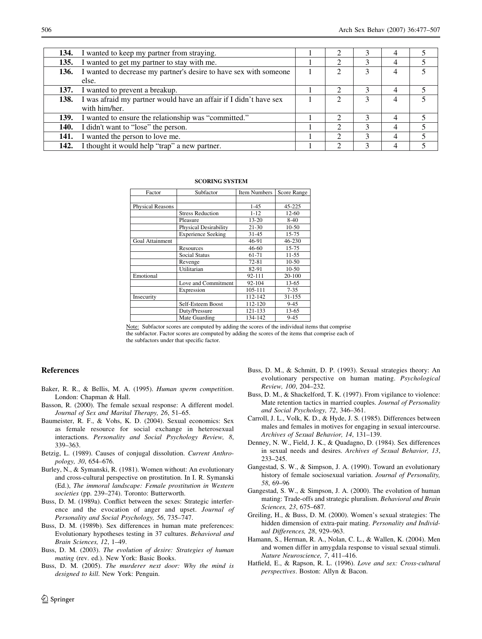|             | <b>134.</b> I wanted to keep my partner from straying.            |  |                             |   |                |  |
|-------------|-------------------------------------------------------------------|--|-----------------------------|---|----------------|--|
| 135.        | I wanted to get my partner to stay with me.                       |  | ◠                           |   |                |  |
| 136.        | I wanted to decrease my partner's desire to have sex with someone |  | $\mathcal{D}_{\mathcal{A}}$ |   | 4              |  |
|             | else.                                                             |  |                             |   |                |  |
| 137.        | I wanted to prevent a breakup.                                    |  | $\mathcal{D}_{\mathcal{L}}$ |   | 4              |  |
| <b>138.</b> | I was afraid my partner would have an affair if I didn't have sex |  | ∍                           | 3 | $\overline{4}$ |  |
|             | with him/her.                                                     |  |                             |   |                |  |
|             | <b>139.</b> I wanted to ensure the relationship was "committed."  |  | $\mathcal{D}$               | 3 | $\overline{4}$ |  |
|             | <b>140.</b> I didn't want to "lose" the person.                   |  | ◠                           | 3 | $\overline{4}$ |  |
| 141.        | I wanted the person to love me.                                   |  | ◠                           | 3 | 4              |  |
|             | 142. I thought it would help "trap" a new partner.                |  | ◠                           | 3 | 4              |  |

#### **SCORING SYSTEM**

| Factor                  | Subfactor                 | <b>Item Numbers</b> | Score Range |
|-------------------------|---------------------------|---------------------|-------------|
|                         |                           |                     |             |
| <b>Physical Reasons</b> |                           | $1 - 45$            | 45-225      |
|                         | <b>Stress Reduction</b>   | $1 - 12$            | 12-60       |
|                         | Pleasure                  | $13 - 20$           | $8-40$      |
|                         | Physical Desirability     | 21-30               | $10-50$     |
|                         | <b>Experience Seeking</b> | $31 - 45$           | 15-75       |
| Goal Attainment         |                           | 46-91               | 46-230      |
|                         | Resources                 | 46-60               | 15-75       |
|                         | <b>Social Status</b>      | 61-71               | 11-55       |
|                         | Revenge                   | $72 - 81$           | $10-50$     |
|                         | Utilitarian               | 82-91               | $10-50$     |
| Emotional               |                           | 92-111              | 20-100      |
|                         | Love and Commitment       | 92-104              | 13-65       |
|                         | Expression                | 105-111             | $7 - 35$    |
| Insecurity              |                           | 112-142             | 31-155      |
|                         | Self-Esteem Boost         | 112-120             | $9 - 45$    |
|                         | Duty/Pressure             | 121-133             | 13-65       |
|                         | Mate Guarding             | 134-142             | $9 - 45$    |

Note: Subfactor scores are computed by adding the scores of the individual items that comprise the subfactor. Factor scores are computed by adding the scores of the items that comprise each of the subfactors under that specific factor.

#### References

- Baker, R. R., & Bellis, M. A. (1995). Human sperm competition. London: Chapman & Hall.
- Basson, R. (2000). The female sexual response: A different model. Journal of Sex and Marital Therapy, 26, 51–65.
- Baumeister, R. F., & Vohs, K. D. (2004). Sexual economics: Sex as female resource for social exchange in heterosexual interactions. Personality and Social Psychology Review, 8, 339–363.
- Betzig, L. (1989). Causes of conjugal dissolution. Current Anthropology, 30, 654–676.
- Burley, N., & Symanski, R. (1981). Women without: An evolutionary and cross-cultural perspective on prostitution. In I. R. Symanski (Ed.), The immoral landscape: Female prostitution in Western societies (pp. 239–274). Toronto: Butterworth.
- Buss, D. M. (1989a). Conflict between the sexes: Strategic interference and the evocation of anger and upset. Journal of Personality and Social Psychology, 56, 735–747.
- Buss, D. M. (1989b). Sex differences in human mate preferences: Evolutionary hypotheses testing in 37 cultures. Behavioral and Brain Sciences, 12, 1–49.
- Buss, D. M. (2003). The evolution of desire: Strategies of human mating (rev. ed.). New York: Basic Books.
- Buss, D. M. (2005). The murderer next door: Why the mind is designed to kill. New York: Penguin.
- Buss, D. M., & Schmitt, D. P. (1993). Sexual strategies theory: An evolutionary perspective on human mating. Psychological Review, 100, 204–232. Buss, D. M., & Shackelford, T. K. (1997). From vigilance to violence:
	- Mate retention tactics in married couples. Journal of Personality and Social Psychology, 72, 346–361.
	- Carroll, J. L., Volk, K. D., & Hyde, J. S. (1985). Differences between males and females in motives for engaging in sexual intercourse. Archives of Sexual Behavior, 14, 131–139.
	- Denney, N. W., Field, J. K., & Quadagno, D. (1984). Sex differences in sexual needs and desires. Archives of Sexual Behavior, 13, 233–245.
	- Gangestad, S. W., & Simpson, J. A. (1990). Toward an evolutionary history of female sociosexual variation. Journal of Personality, 58, 69–96
	- Gangestad, S. W., & Simpson, J. A. (2000). The evolution of human mating: Trade-offs and strategic pluralism. Behavioral and Brain Sciences, 23, 675–687.
	- Greiling, H., & Buss, D. M. (2000). Women's sexual strategies: The hidden dimension of extra-pair mating. Personality and Individual Differences, 28, 929–963.
	- Hamann, S., Herman, R. A., Nolan, C. L., & Wallen, K. (2004). Men and women differ in amygdala response to visual sexual stimuli. Nature Neuroscience, 7, 411–416.
	- Hatfield, E., & Rapson, R. L. (1996). Love and sex: Cross-cultural perspectives. Boston: Allyn & Bacon.